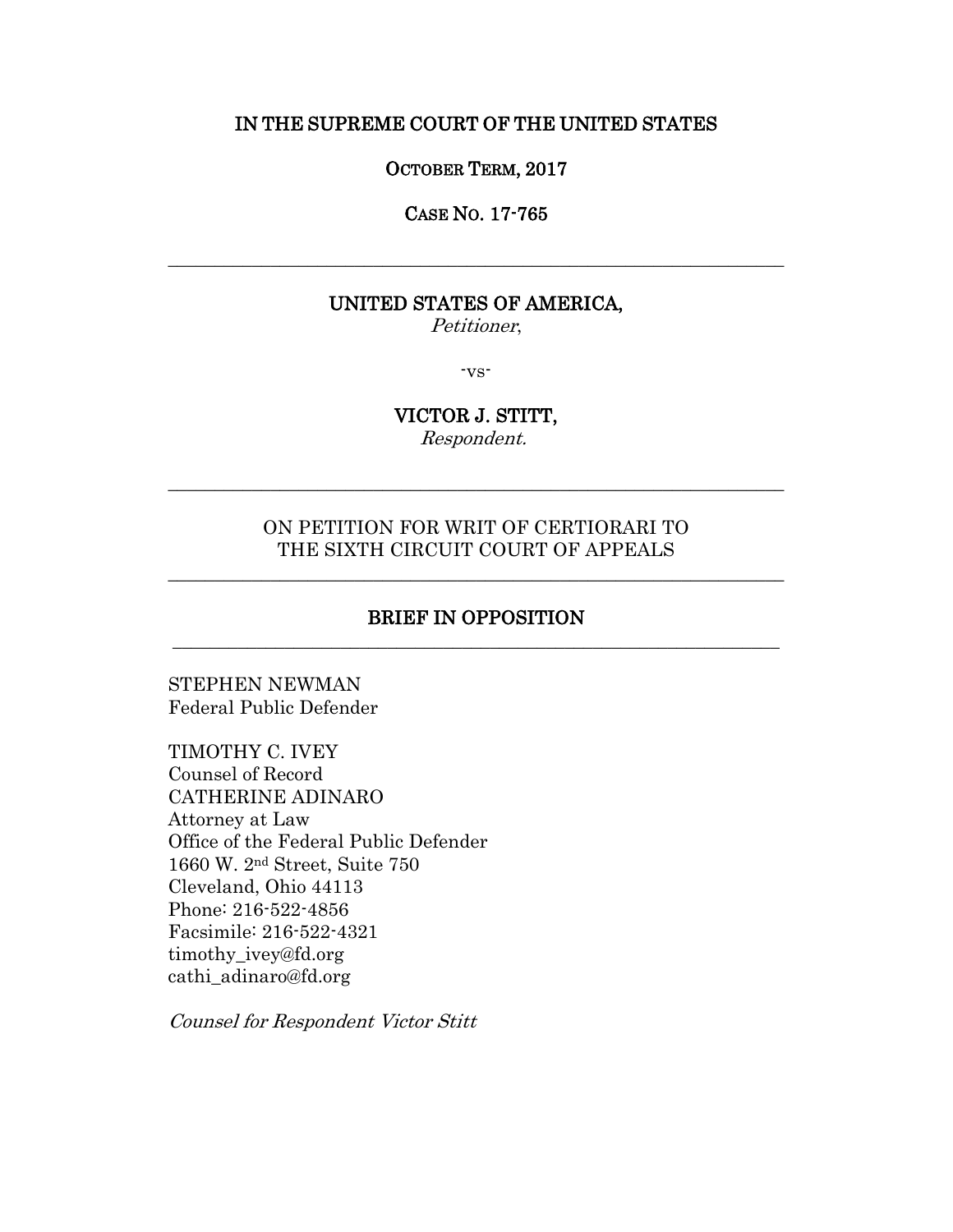### IN THE SUPREME COURT OF THE UNITED STATES

#### OCTOBER TERM, 2017

CASE NO. 17-765

\_\_\_\_\_\_\_\_\_\_\_\_\_\_\_\_\_\_\_\_\_\_\_\_\_\_\_\_\_\_\_\_\_\_\_\_\_\_\_\_\_\_\_\_\_\_\_\_\_\_\_\_\_\_\_\_\_\_\_\_\_\_\_\_\_\_

## UNITED STATES OF AMERICA,

Petitioner,

-vs-

# VICTOR J. STITT,

Respondent.

\_\_\_\_\_\_\_\_\_\_\_\_\_\_\_\_\_\_\_\_\_\_\_\_\_\_\_\_\_\_\_\_\_\_\_\_\_\_\_\_\_\_\_\_\_\_\_\_\_\_\_\_\_\_\_\_\_\_\_\_\_\_\_\_\_\_

## ON PETITION FOR WRIT OF CERTIORARI TO THE SIXTH CIRCUIT COURT OF APPEALS

\_\_\_\_\_\_\_\_\_\_\_\_\_\_\_\_\_\_\_\_\_\_\_\_\_\_\_\_\_\_\_\_\_\_\_\_\_\_\_\_\_\_\_\_\_\_\_\_\_\_\_\_\_\_\_\_\_\_\_\_\_\_\_\_\_\_

## BRIEF IN OPPOSITION \_\_\_\_\_\_\_\_\_\_\_\_\_\_\_\_\_\_\_\_\_\_\_\_\_\_\_\_\_\_\_\_\_\_\_\_\_\_\_\_\_\_\_\_\_\_\_\_\_\_\_\_\_\_\_\_\_\_\_\_\_\_\_\_\_

STEPHEN NEWMAN Federal Public Defender

TIMOTHY C. IVEY Counsel of Record CATHERINE ADINARO Attorney at Law Office of the Federal Public Defender 1660 W. 2nd Street, Suite 750 Cleveland, Ohio 44113 Phone: 216-522-4856 Facsimile: 216-522-4321 timothy\_ivey@fd.org cathi\_adinaro@fd.org

Counsel for Respondent Victor Stitt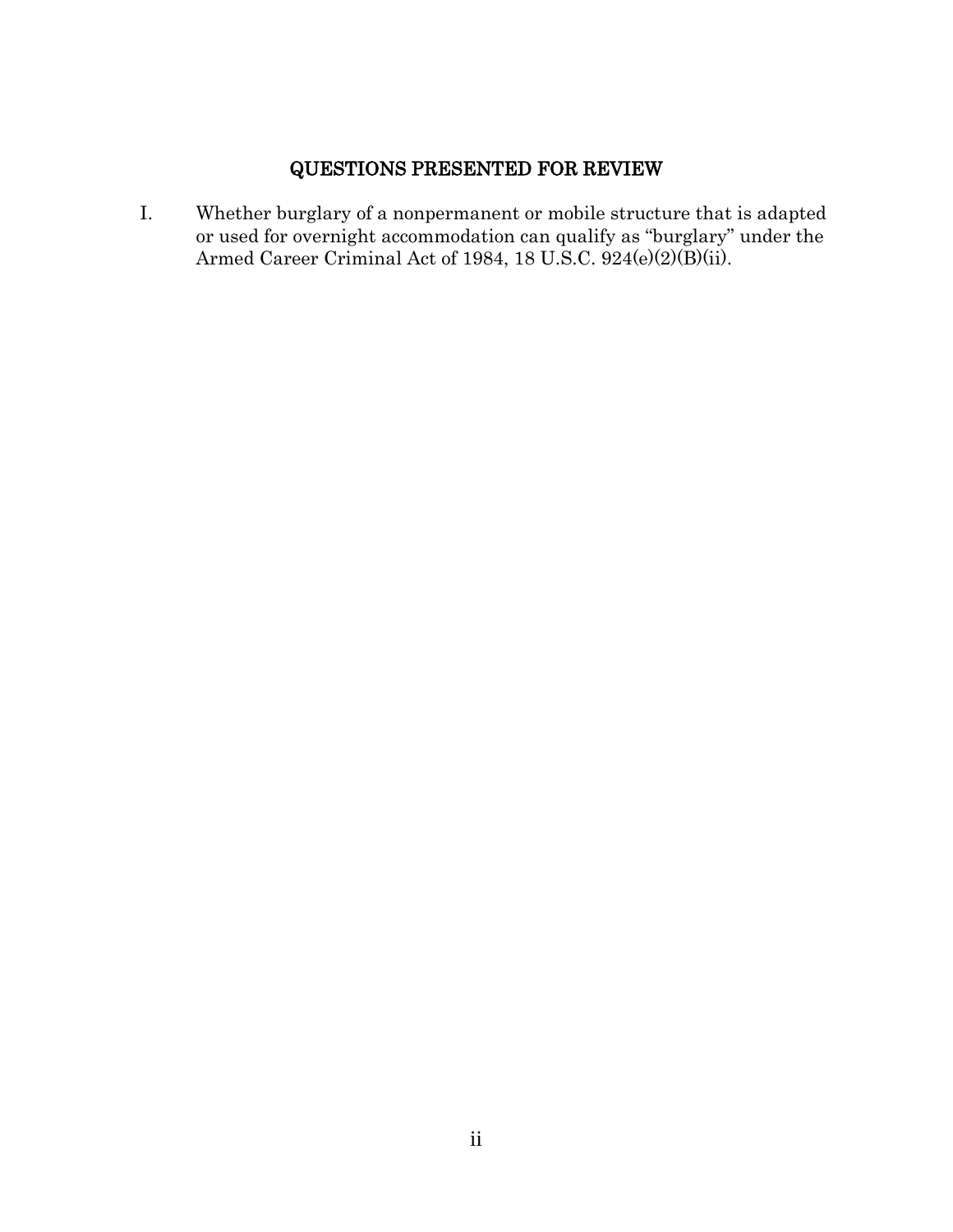## QUESTIONS PRESENTED FOR REVIEW

I. Whether burglary of a nonpermanent or mobile structure that is adapted or used for overnight accommodation can qualify as "burglary" under the Armed Career Criminal Act of 1984, 18 U.S.C. 924(e)(2)(B)(ii).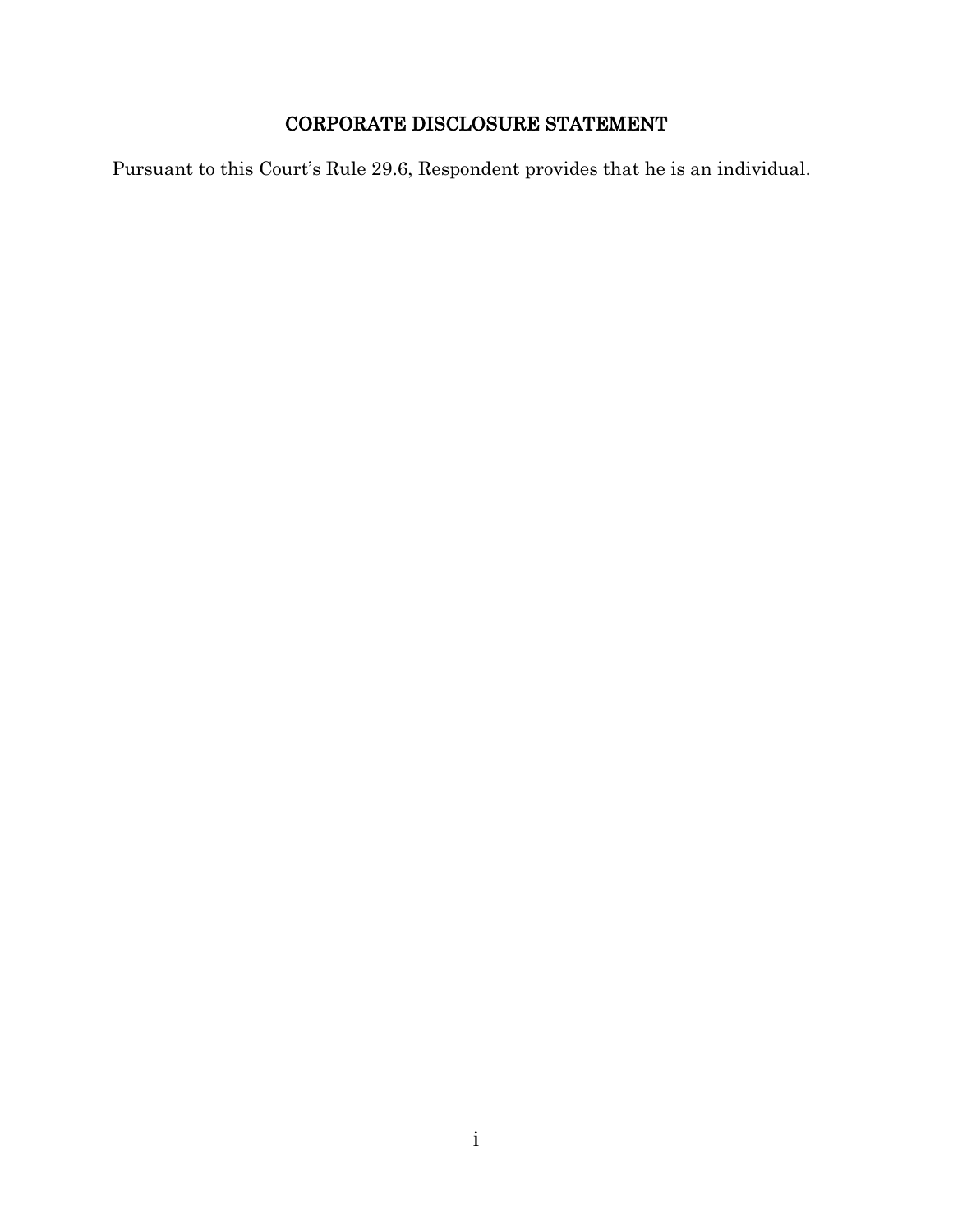# CORPORATE DISCLOSURE STATEMENT

Pursuant to this Court's Rule 29.6, Respondent provides that he is an individual.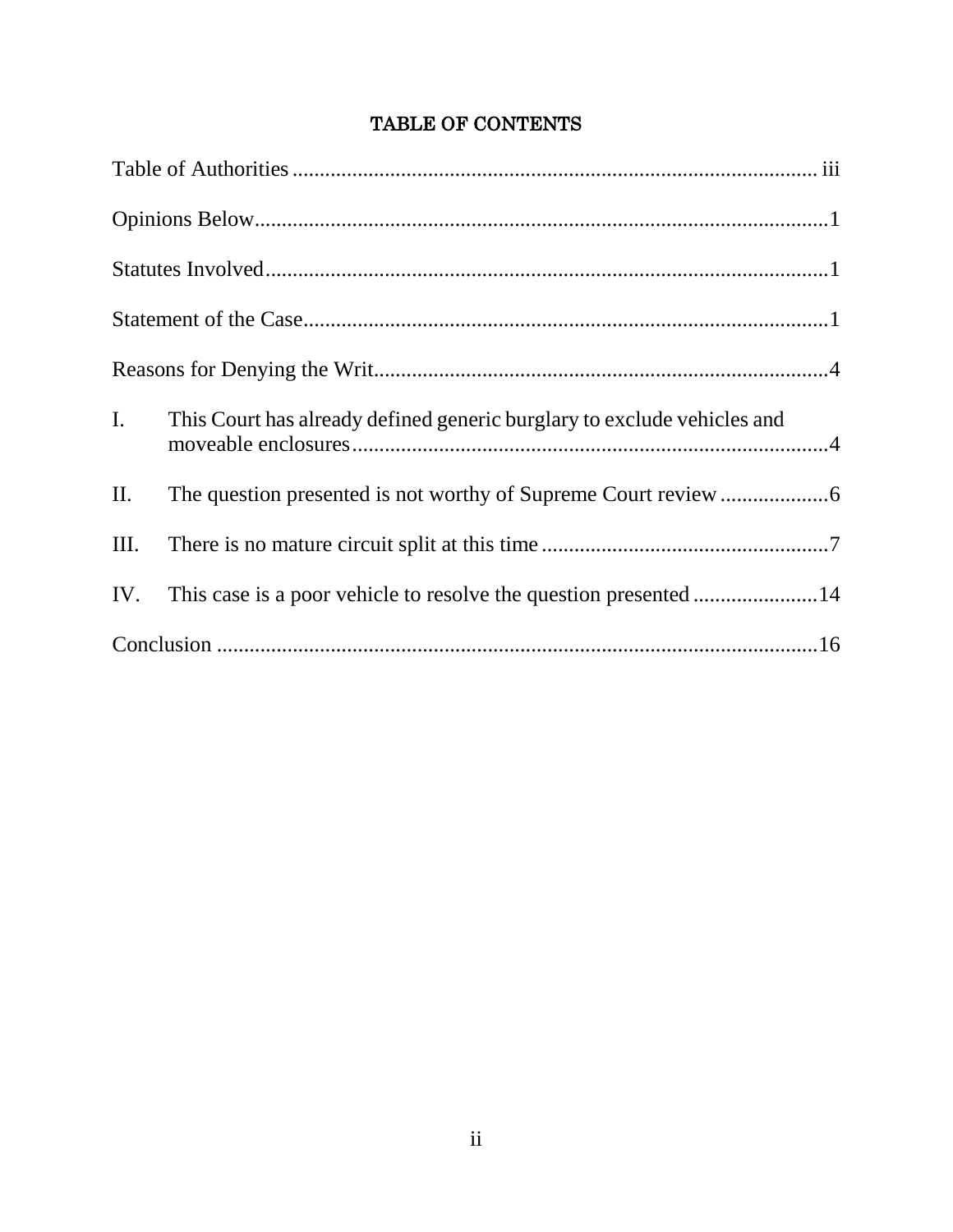| $I_{\cdot}$ | This Court has already defined generic burglary to exclude vehicles and |
|-------------|-------------------------------------------------------------------------|
| II.         |                                                                         |
| III.        |                                                                         |
| IV.         |                                                                         |
|             |                                                                         |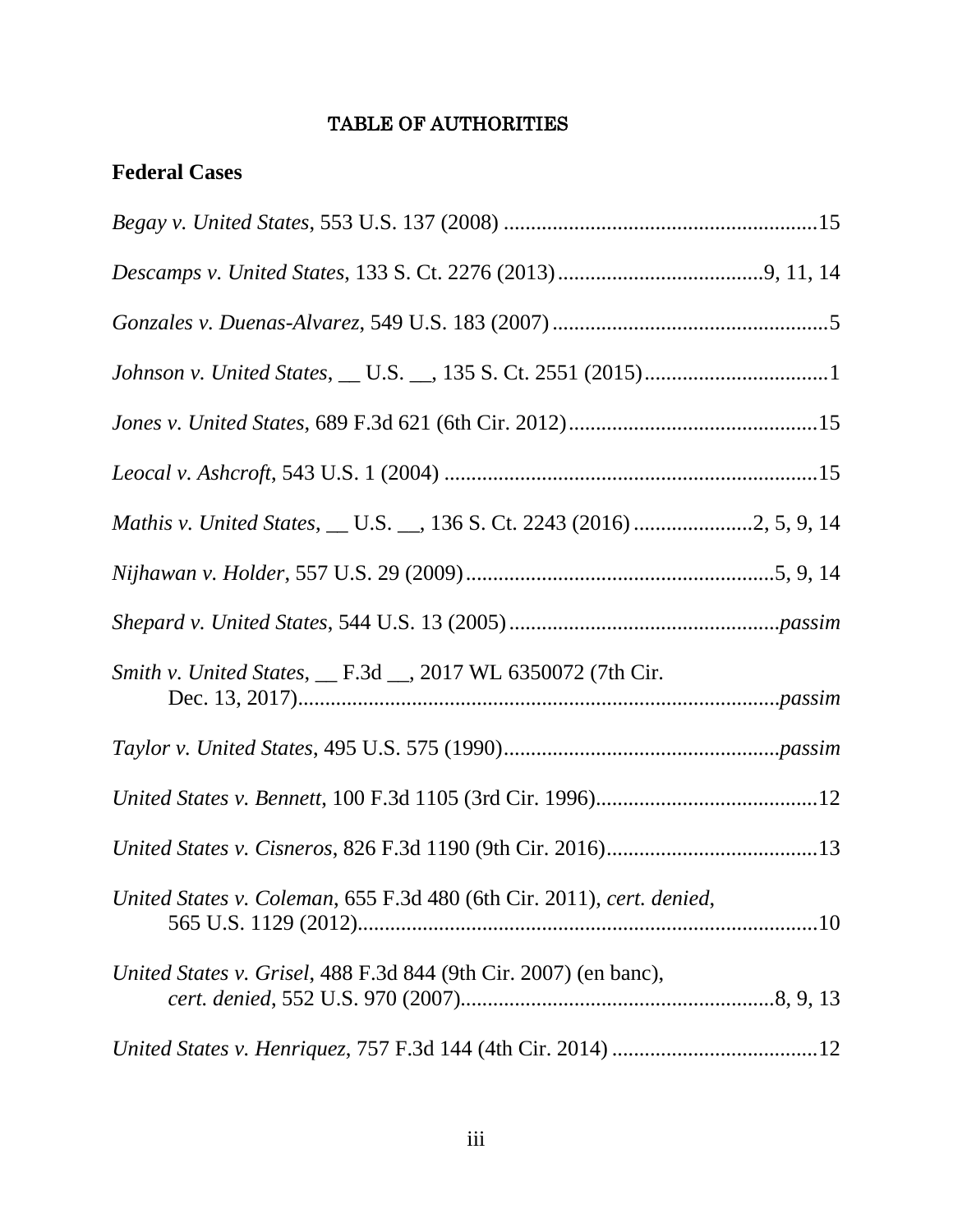## TABLE OF AUTHORITIES

| <b>Federal Cases</b>                                                  |  |
|-----------------------------------------------------------------------|--|
|                                                                       |  |
|                                                                       |  |
|                                                                       |  |
|                                                                       |  |
|                                                                       |  |
|                                                                       |  |
|                                                                       |  |
|                                                                       |  |
|                                                                       |  |
| Smith v. United States, __ F.3d __, 2017 WL 6350072 (7th Cir.         |  |
|                                                                       |  |
|                                                                       |  |
|                                                                       |  |
| United States v. Coleman, 655 F.3d 480 (6th Cir. 2011), cert. denied, |  |
| United States v. Grisel, 488 F.3d 844 (9th Cir. 2007) (en banc),      |  |
|                                                                       |  |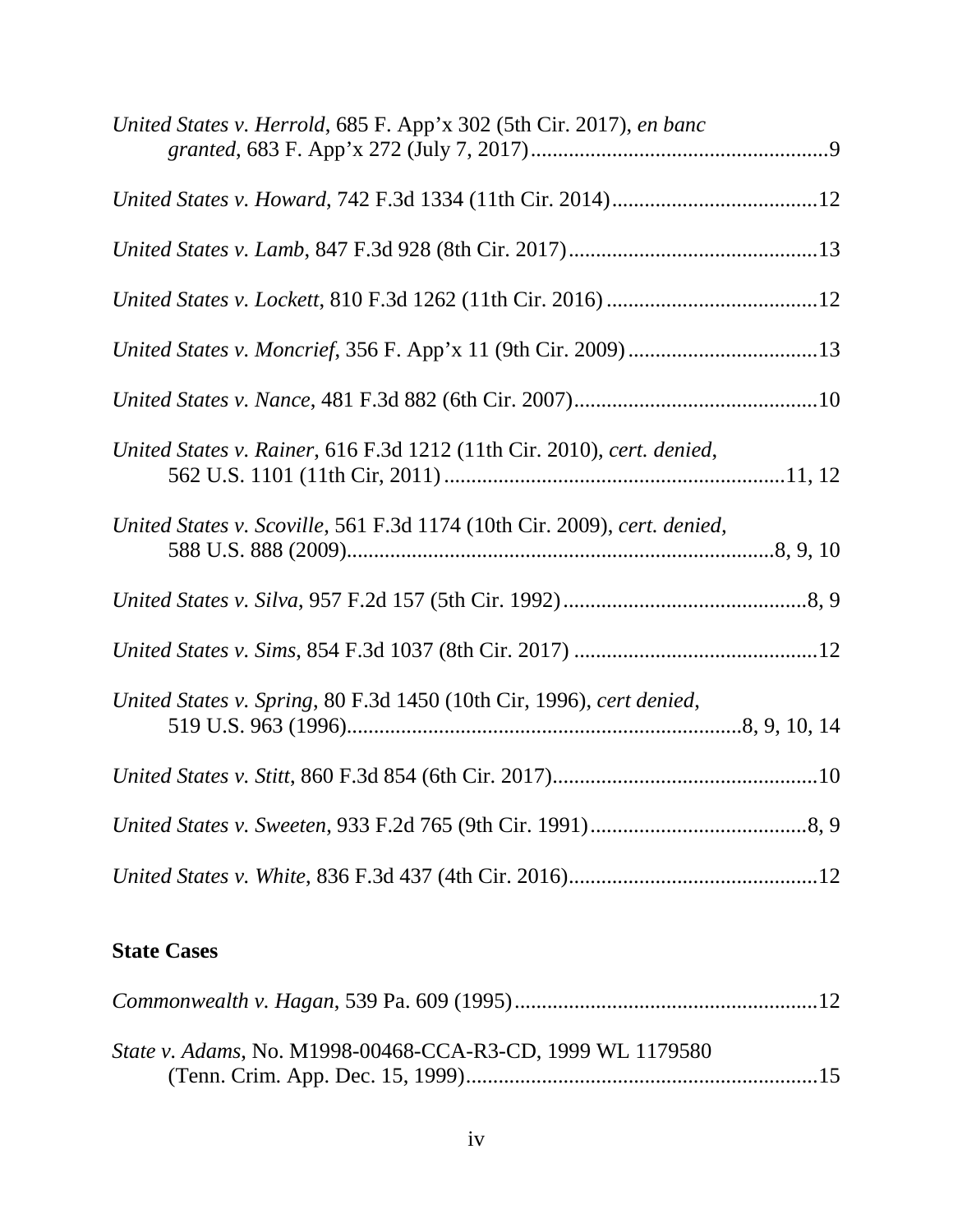| United States v. Herrold, 685 F. App'x 302 (5th Cir. 2017), en banc      |  |
|--------------------------------------------------------------------------|--|
|                                                                          |  |
|                                                                          |  |
|                                                                          |  |
| United States v. Moncrief, 356 F. App'x 11 (9th Cir. 2009)13             |  |
|                                                                          |  |
| United States v. Rainer, 616 F.3d 1212 (11th Cir. 2010), cert. denied,   |  |
| United States v. Scoville, 561 F.3d 1174 (10th Cir. 2009), cert. denied, |  |
|                                                                          |  |
|                                                                          |  |
| United States v. Spring, 80 F.3d 1450 (10th Cir, 1996), cert denied,     |  |
|                                                                          |  |
|                                                                          |  |
|                                                                          |  |

# **State Cases**

| State v. Adams, No. M1998-00468-CCA-R3-CD, 1999 WL 1179580 |  |
|------------------------------------------------------------|--|
|                                                            |  |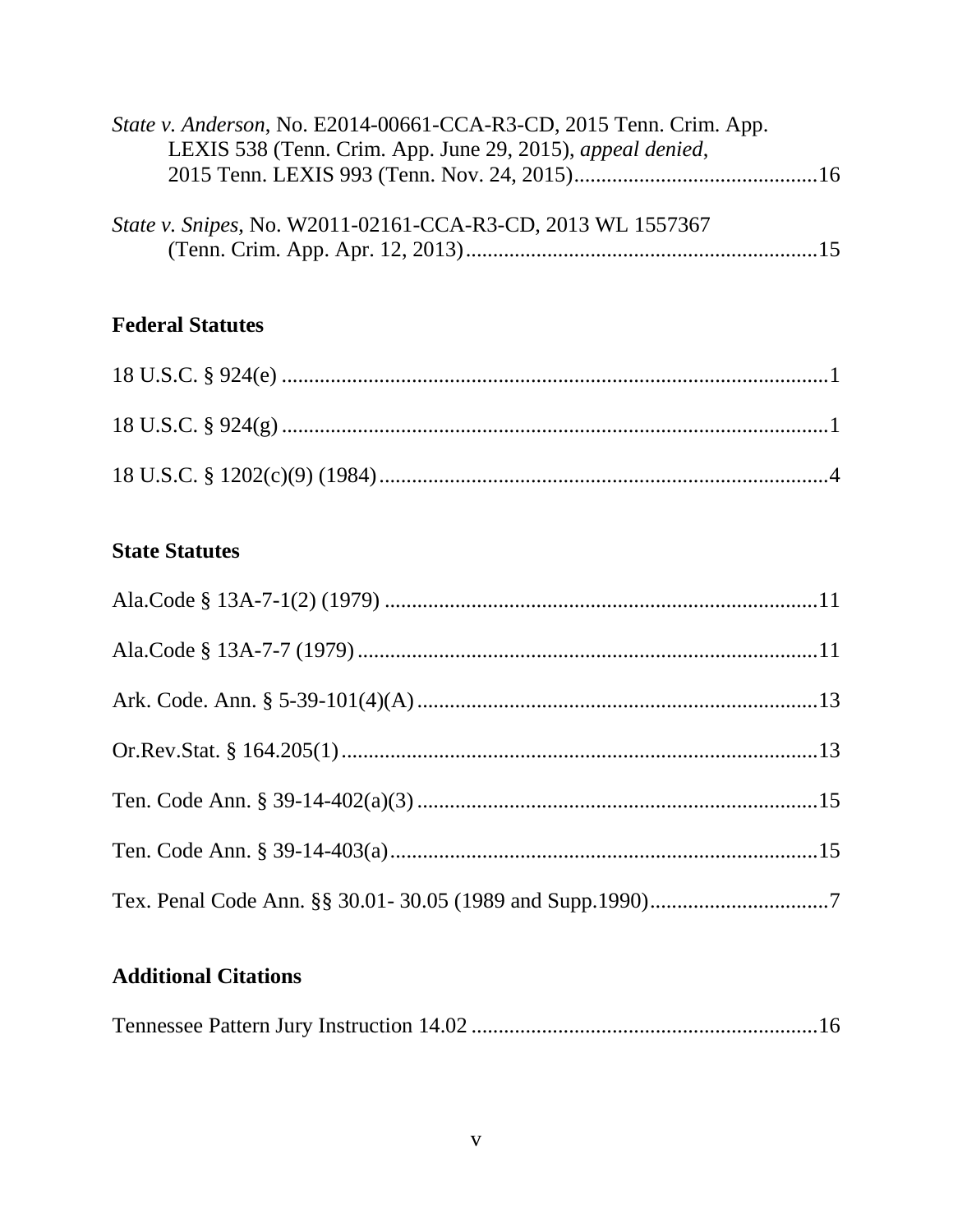| State v. Anderson, No. E2014-00661-CCA-R3-CD, 2015 Tenn. Crim. App.<br>LEXIS 538 (Tenn. Crim. App. June 29, 2015), appeal denied, |
|-----------------------------------------------------------------------------------------------------------------------------------|
| State v. Snipes, No. W2011-02161-CCA-R3-CD, 2013 WL 1557367                                                                       |
| <b>Federal Statutes</b>                                                                                                           |
|                                                                                                                                   |
|                                                                                                                                   |
|                                                                                                                                   |
| <b>State Statutes</b>                                                                                                             |
|                                                                                                                                   |
|                                                                                                                                   |
|                                                                                                                                   |
|                                                                                                                                   |
|                                                                                                                                   |
|                                                                                                                                   |
|                                                                                                                                   |

# **Additional Citations**

|--|--|--|--|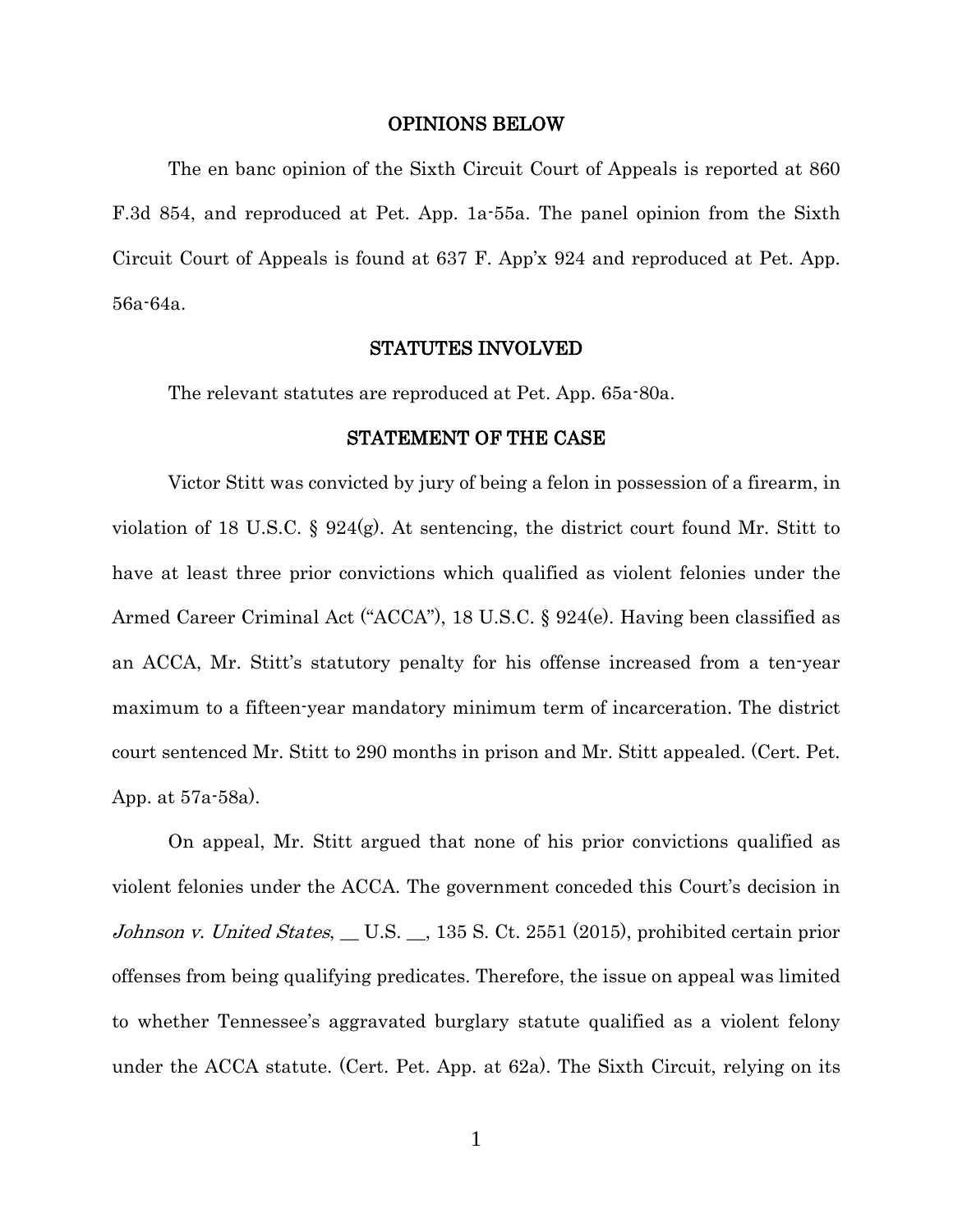#### OPINIONS BELOW

The en banc opinion of the Sixth Circuit Court of Appeals is reported at 860 F.3d 854, and reproduced at Pet. App. 1a-55a. The panel opinion from the Sixth Circuit Court of Appeals is found at 637 F. App'x 924 and reproduced at Pet. App. 56a-64a.

#### STATUTES INVOLVED

The relevant statutes are reproduced at Pet. App. 65a-80a.

#### STATEMENT OF THE CASE

Victor Stitt was convicted by jury of being a felon in possession of a firearm, in violation of 18 U.S.C. § 924(g). At sentencing, the district court found Mr. Stitt to have at least three prior convictions which qualified as violent felonies under the Armed Career Criminal Act ("ACCA"), 18 U.S.C. § 924(e). Having been classified as an ACCA, Mr. Stitt's statutory penalty for his offense increased from a ten-year maximum to a fifteen-year mandatory minimum term of incarceration. The district court sentenced Mr. Stitt to 290 months in prison and Mr. Stitt appealed. (Cert. Pet. App. at 57a-58a).

On appeal, Mr. Stitt argued that none of his prior convictions qualified as violent felonies under the ACCA. The government conceded this Court's decision in Johnson v. United States, \_ U.S. \_, 135 S. Ct. 2551 (2015), prohibited certain prior offenses from being qualifying predicates. Therefore, the issue on appeal was limited to whether Tennessee's aggravated burglary statute qualified as a violent felony under the ACCA statute. (Cert. Pet. App. at 62a). The Sixth Circuit, relying on its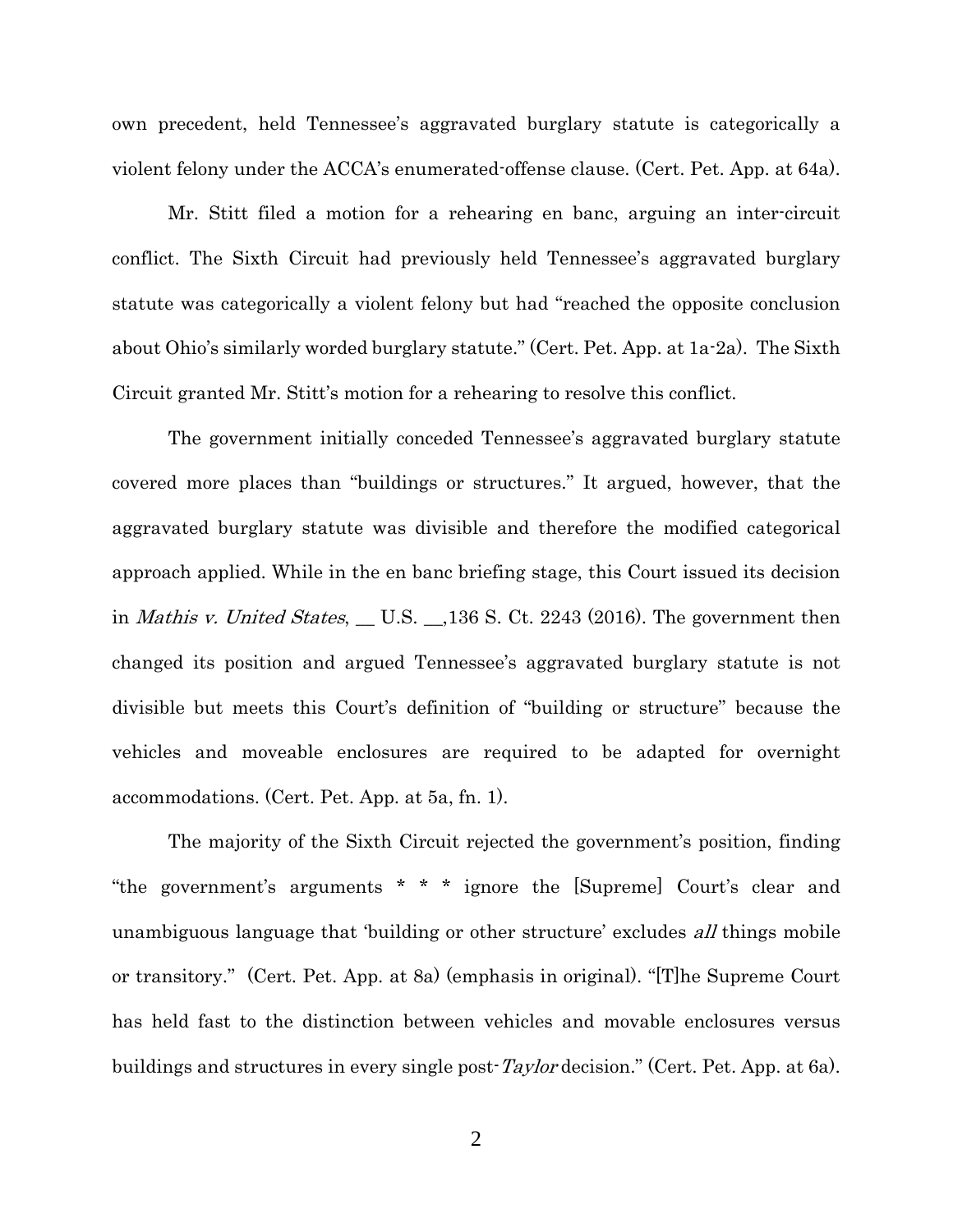own precedent, held Tennessee's aggravated burglary statute is categorically a violent felony under the ACCA's enumerated-offense clause. (Cert. Pet. App. at 64a).

Mr. Stitt filed a motion for a rehearing en banc, arguing an inter-circuit conflict. The Sixth Circuit had previously held Tennessee's aggravated burglary statute was categorically a violent felony but had "reached the opposite conclusion about Ohio's similarly worded burglary statute." (Cert. Pet. App. at 1a-2a). The Sixth Circuit granted Mr. Stitt's motion for a rehearing to resolve this conflict.

The government initially conceded Tennessee's aggravated burglary statute covered more places than "buildings or structures." It argued, however, that the aggravated burglary statute was divisible and therefore the modified categorical approach applied. While in the en banc briefing stage, this Court issued its decision in *Mathis v. United States*,  $\_\_$  U.S.  $\_\_$ ,136 S. Ct. 2243 (2016). The government then changed its position and argued Tennessee's aggravated burglary statute is not divisible but meets this Court's definition of "building or structure" because the vehicles and moveable enclosures are required to be adapted for overnight accommodations. (Cert. Pet. App. at 5a, fn. 1).

The majority of the Sixth Circuit rejected the government's position, finding "the government's arguments \* \* \* ignore the [Supreme] Court's clear and unambiguous language that 'building or other structure' excludes *all* things mobile or transitory." (Cert. Pet. App. at 8a) (emphasis in original). "[T]he Supreme Court has held fast to the distinction between vehicles and movable enclosures versus buildings and structures in every single post-Taylor decision." (Cert. Pet. App. at 6a).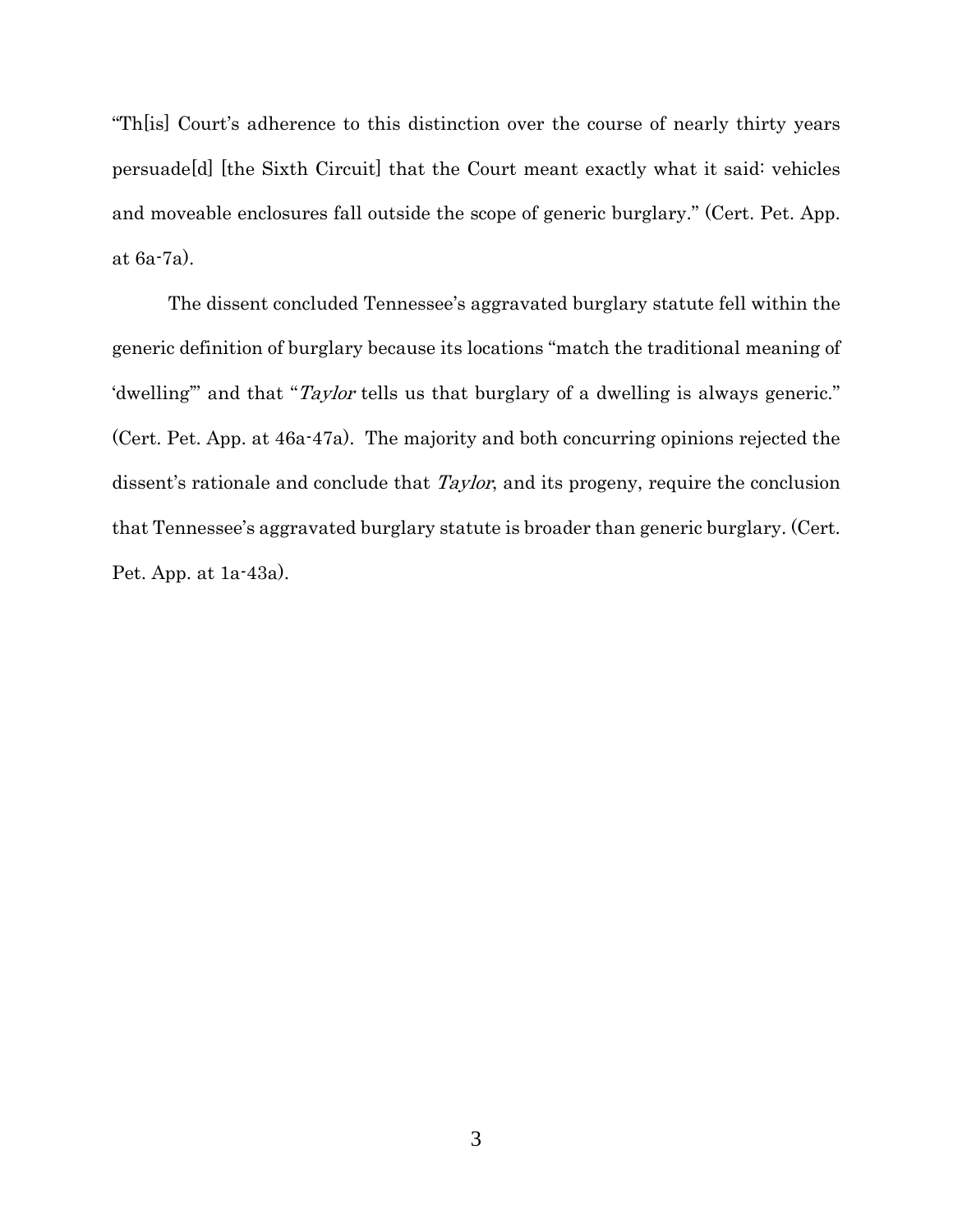"Th[is] Court's adherence to this distinction over the course of nearly thirty years persuade[d] [the Sixth Circuit] that the Court meant exactly what it said: vehicles and moveable enclosures fall outside the scope of generic burglary." (Cert. Pet. App. at 6a-7a).

The dissent concluded Tennessee's aggravated burglary statute fell within the generic definition of burglary because its locations "match the traditional meaning of 'dwelling" and that "Taylor tells us that burglary of a dwelling is always generic." (Cert. Pet. App. at 46a-47a). The majority and both concurring opinions rejected the dissent's rationale and conclude that *Taylor*, and its progeny, require the conclusion that Tennessee's aggravated burglary statute is broader than generic burglary. (Cert. Pet. App. at 1a-43a).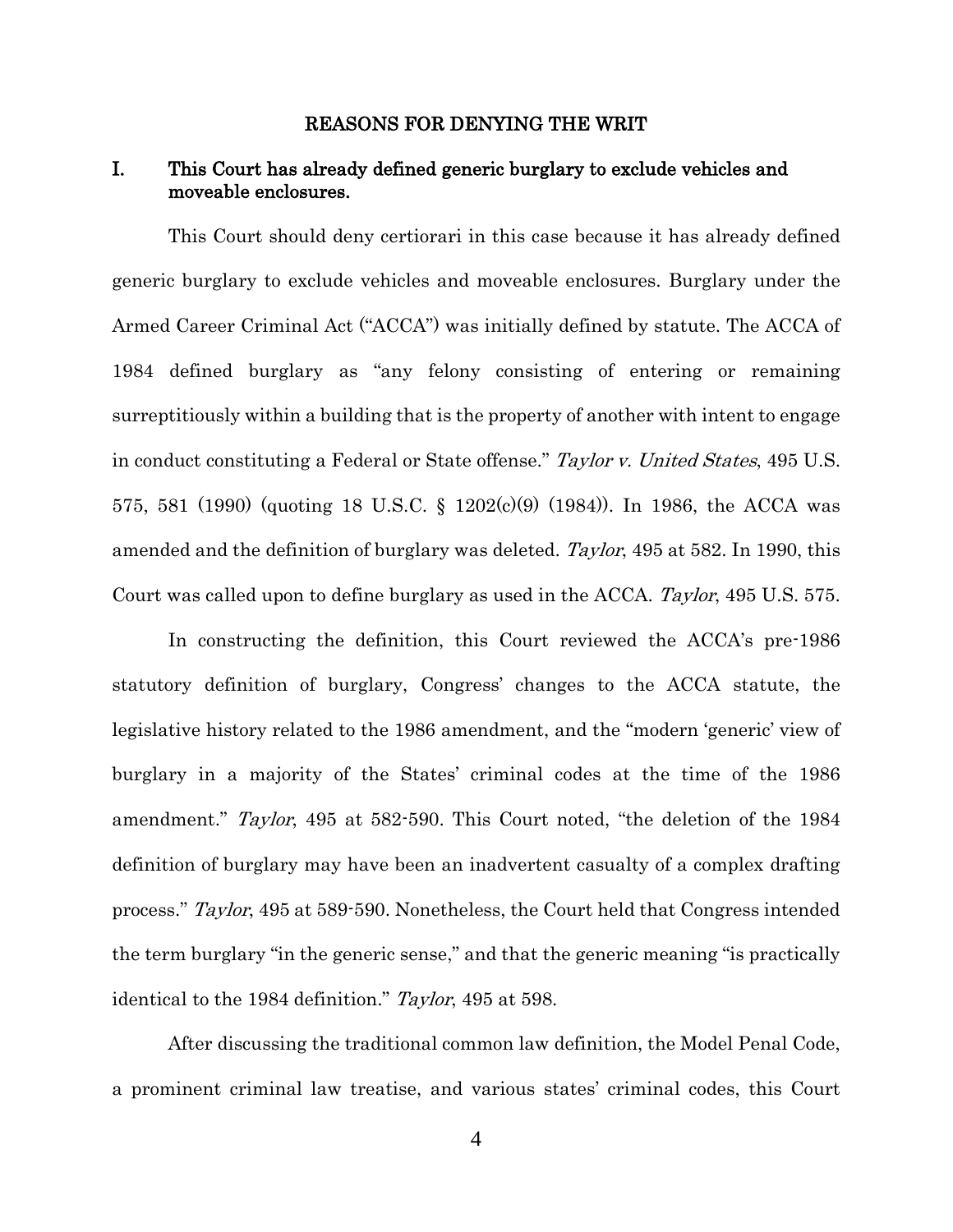#### REASONS FOR DENYING THE WRIT

### I. This Court has already defined generic burglary to exclude vehicles and moveable enclosures.

This Court should deny certiorari in this case because it has already defined generic burglary to exclude vehicles and moveable enclosures. Burglary under the Armed Career Criminal Act ("ACCA") was initially defined by statute. The ACCA of 1984 defined burglary as "any felony consisting of entering or remaining surreptitiously within a building that is the property of another with intent to engage in conduct constituting a Federal or State offense." Taylor v. United States, 495 U.S. 575, 581 (1990) (quoting 18 U.S.C. § 1202(c)(9) (1984)). In 1986, the ACCA was amended and the definition of burglary was deleted. Taylor, 495 at 582. In 1990, this Court was called upon to define burglary as used in the ACCA. Taylor, 495 U.S. 575.

In constructing the definition, this Court reviewed the ACCA's pre-1986 statutory definition of burglary, Congress' changes to the ACCA statute, the legislative history related to the 1986 amendment, and the "modern 'generic' view of burglary in a majority of the States' criminal codes at the time of the 1986 amendment." Taylor, 495 at 582-590. This Court noted, "the deletion of the 1984 definition of burglary may have been an inadvertent casualty of a complex drafting process." Taylor, 495 at 589-590. Nonetheless, the Court held that Congress intended the term burglary "in the generic sense," and that the generic meaning "is practically identical to the 1984 definition." Taylor, 495 at 598.

After discussing the traditional common law definition, the Model Penal Code, a prominent criminal law treatise, and various states' criminal codes, this Court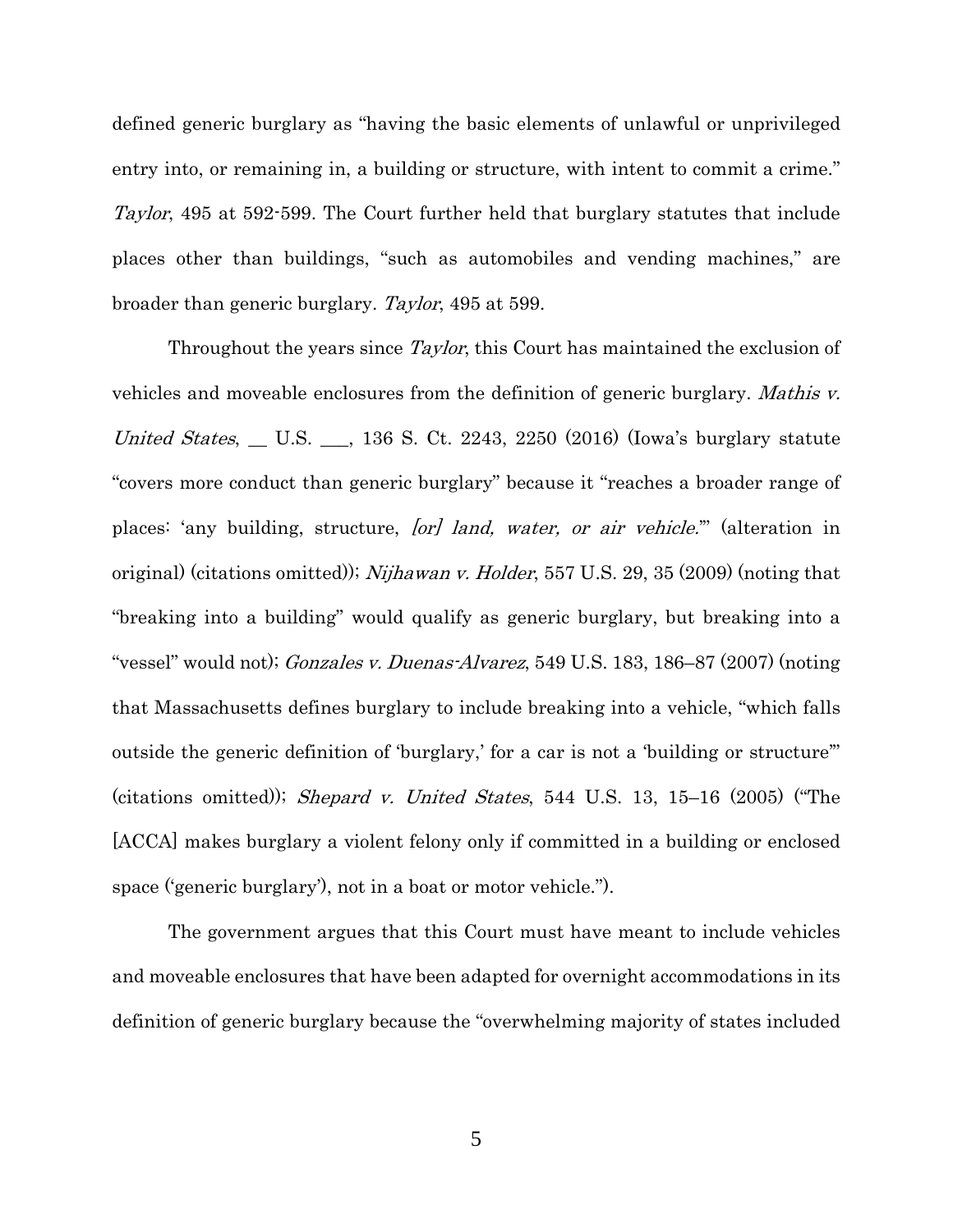defined generic burglary as "having the basic elements of unlawful or unprivileged entry into, or remaining in, a building or structure, with intent to commit a crime." Taylor, 495 at 592-599. The Court further held that burglary statutes that include places other than buildings, "such as automobiles and vending machines," are broader than generic burglary. Taylor, 495 at 599.

Throughout the years since *Taylor*, this Court has maintained the exclusion of vehicles and moveable enclosures from the definition of generic burglary. Mathis v. United States,  $\_\_$  U.S.  $\_\_$ , 136 S. Ct. 2243, 2250 (2016) (Iowa's burglary statute "covers more conduct than generic burglary" because it "reaches a broader range of places: 'any building, structure, [or] land, water, or air vehicle." (alteration in original) (citations omitted)); Nijhawan v. Holder, 557 U.S. 29, 35 (2009) (noting that "breaking into a building" would qualify as generic burglary, but breaking into a "vessel" would not); Gonzales v. Duenas-Alvarez, 549 U.S. 183, 186–87 (2007) (noting that Massachusetts defines burglary to include breaking into a vehicle, "which falls outside the generic definition of 'burglary,' for a car is not a 'building or structure'" (citations omitted)); Shepard v. United States, 544 U.S. 13, 15–16 (2005) ("The [ACCA] makes burglary a violent felony only if committed in a building or enclosed space ('generic burglary'), not in a boat or motor vehicle.").

The government argues that this Court must have meant to include vehicles and moveable enclosures that have been adapted for overnight accommodations in its definition of generic burglary because the "overwhelming majority of states included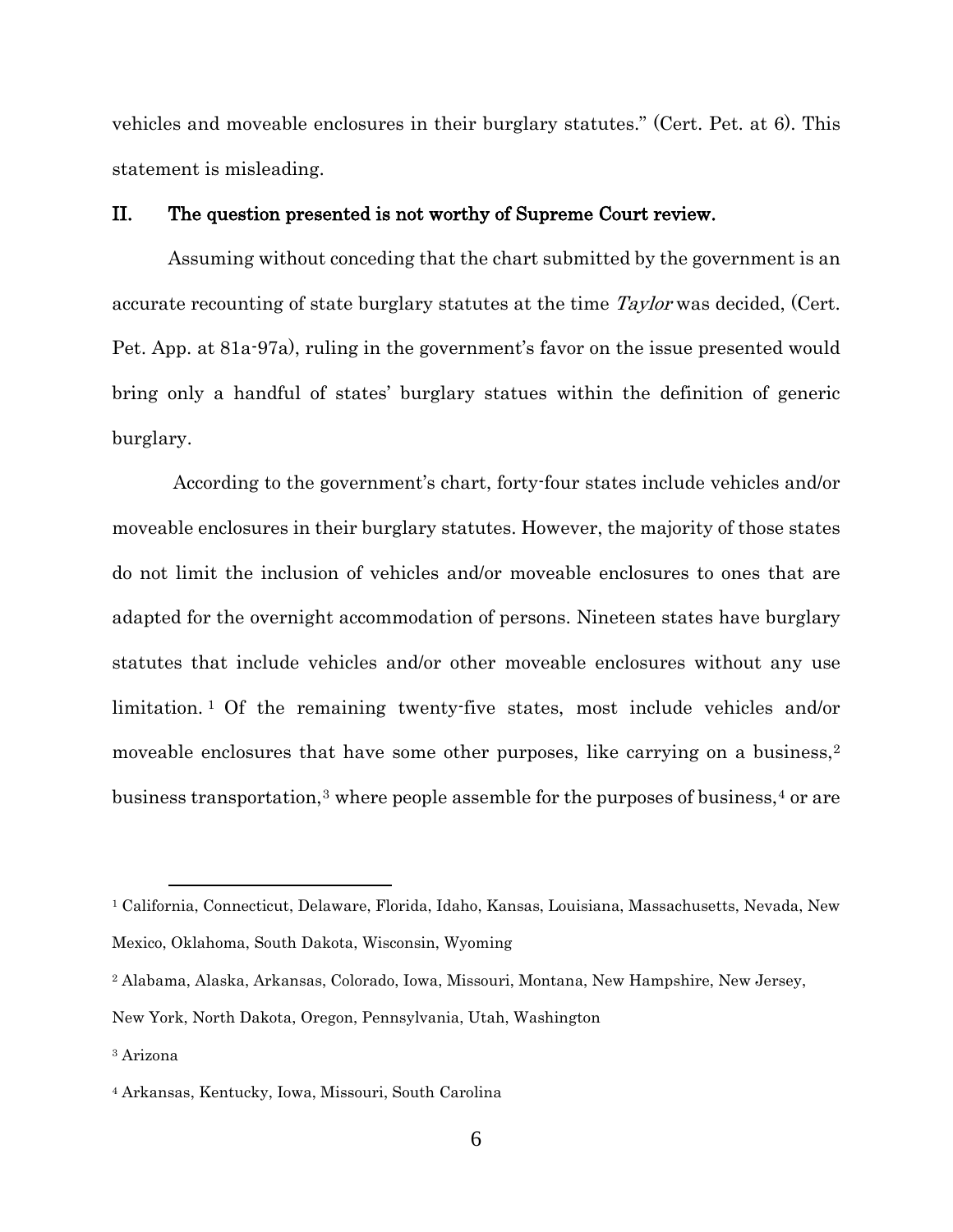vehicles and moveable enclosures in their burglary statutes." (Cert. Pet. at 6). This statement is misleading.

### II. The question presented is not worthy of Supreme Court review.

Assuming without conceding that the chart submitted by the government is an accurate recounting of state burglary statutes at the time Taylor was decided, (Cert. Pet. App. at 81a-97a), ruling in the government's favor on the issue presented would bring only a handful of states' burglary statues within the definition of generic burglary.

According to the government's chart, forty-four states include vehicles and/or moveable enclosures in their burglary statutes. However, the majority of those states do not limit the inclusion of vehicles and/or moveable enclosures to ones that are adapted for the overnight accommodation of persons. Nineteen states have burglary statutes that include vehicles and/or other moveable enclosures without any use limitation. [1](#page-12-0) Of the remaining twenty-five states, most include vehicles and/or moveable enclosures that have some other purposes, like carrying on a business,<sup>[2](#page-12-1)</sup> business transportation,<sup>[3](#page-12-2)</sup> where people assemble for the purposes of business,<sup>[4](#page-12-3)</sup> or are

 $\overline{a}$ 

<span id="page-12-0"></span><sup>1</sup> California, Connecticut, Delaware, Florida, Idaho, Kansas, Louisiana, Massachusetts, Nevada, New Mexico, Oklahoma, South Dakota, Wisconsin, Wyoming

<span id="page-12-1"></span><sup>2</sup> Alabama, Alaska, Arkansas, Colorado, Iowa, Missouri, Montana, New Hampshire, New Jersey,

New York, North Dakota, Oregon, Pennsylvania, Utah, Washington

<span id="page-12-2"></span><sup>3</sup> Arizona

<span id="page-12-3"></span><sup>4</sup> Arkansas, Kentucky, Iowa, Missouri, South Carolina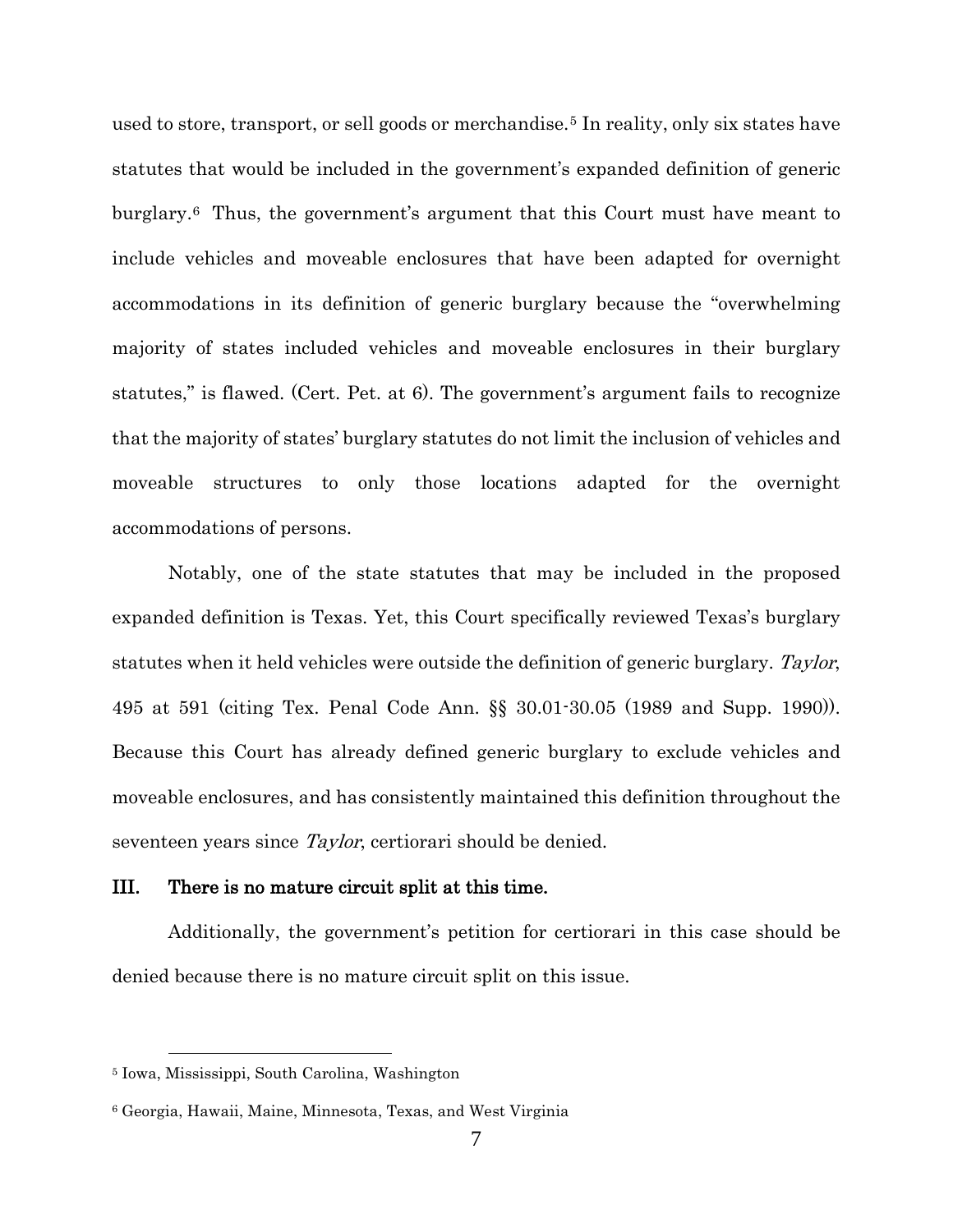used to store, transport, or sell goods or merchandise.<sup>[5](#page-13-0)</sup> In reality, only six states have statutes that would be included in the government's expanded definition of generic burglary.[6](#page-13-1) Thus, the government's argument that this Court must have meant to include vehicles and moveable enclosures that have been adapted for overnight accommodations in its definition of generic burglary because the "overwhelming majority of states included vehicles and moveable enclosures in their burglary statutes," is flawed. (Cert. Pet. at 6). The government's argument fails to recognize that the majority of states' burglary statutes do not limit the inclusion of vehicles and moveable structures to only those locations adapted for the overnight accommodations of persons.

Notably, one of the state statutes that may be included in the proposed expanded definition is Texas. Yet, this Court specifically reviewed Texas's burglary statutes when it held vehicles were outside the definition of generic burglary. Taylor, 495 at 591 (citing Tex. Penal Code Ann. §§ 30.01-30.05 (1989 and Supp. 1990)). Because this Court has already defined generic burglary to exclude vehicles and moveable enclosures, and has consistently maintained this definition throughout the seventeen years since *Taylor*, certiorari should be denied.

#### III. There is no mature circuit split at this time.

Additionally, the government's petition for certiorari in this case should be denied because there is no mature circuit split on this issue.

 $\overline{a}$ 

<span id="page-13-0"></span><sup>5</sup> Iowa, Mississippi, South Carolina, Washington

<span id="page-13-1"></span><sup>6</sup> Georgia, Hawaii, Maine, Minnesota, Texas, and West Virginia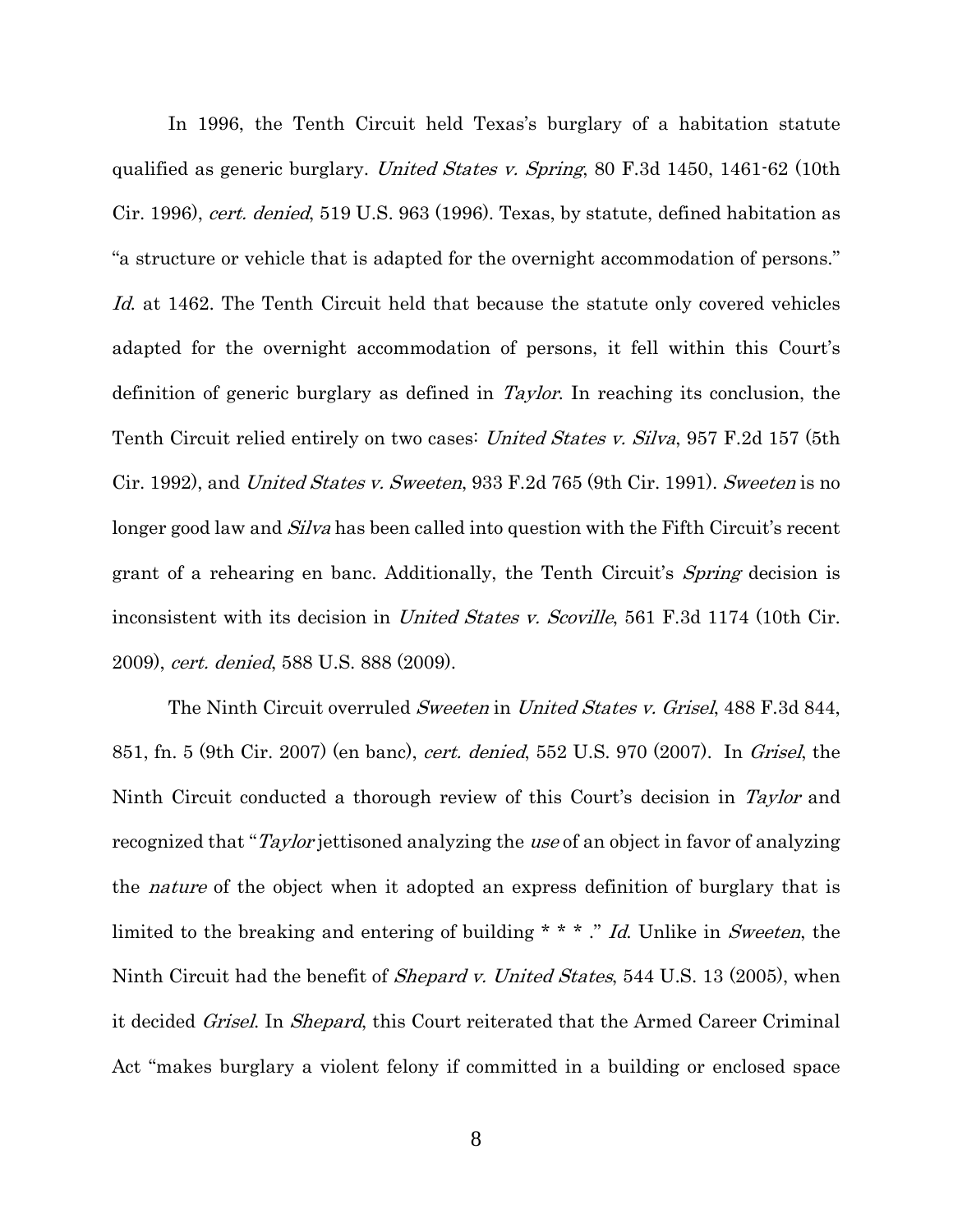In 1996, the Tenth Circuit held Texas's burglary of a habitation statute qualified as generic burglary. *United States v. Spring*, 80 F.3d 1450, 1461-62 (10th Cir. 1996), cert. denied, 519 U.S. 963 (1996). Texas, by statute, defined habitation as "a structure or vehicle that is adapted for the overnight accommodation of persons." Id. at 1462. The Tenth Circuit held that because the statute only covered vehicles adapted for the overnight accommodation of persons, it fell within this Court's definition of generic burglary as defined in Taylor. In reaching its conclusion, the Tenth Circuit relied entirely on two cases: United States v. Silva, 957 F.2d 157 (5th Cir. 1992), and United States v. Sweeten, 933 F.2d 765 (9th Cir. 1991). Sweeten is no longer good law and *Silva* has been called into question with the Fifth Circuit's recent grant of a rehearing en banc. Additionally, the Tenth Circuit's *Spring* decision is inconsistent with its decision in *United States v. Scoville*, 561 F.3d 1174 (10th Cir. 2009), cert. denied, 588 U.S. 888 (2009).

The Ninth Circuit overruled Sweeten in United States v. Grisel, 488 F.3d 844, 851, fn. 5 (9th Cir. 2007) (en banc), cert. denied, 552 U.S. 970 (2007). In Grisel, the Ninth Circuit conducted a thorough review of this Court's decision in Taylor and recognized that "*Taylor* jettisoned analyzing the use of an object in favor of analyzing the *nature* of the object when it adopted an express definition of burglary that is limited to the breaking and entering of building \* \* \* ." Id. Unlike in Sweeten, the Ninth Circuit had the benefit of *Shepard v. United States*, 544 U.S. 13 (2005), when it decided Grisel. In Shepard, this Court reiterated that the Armed Career Criminal Act "makes burglary a violent felony if committed in a building or enclosed space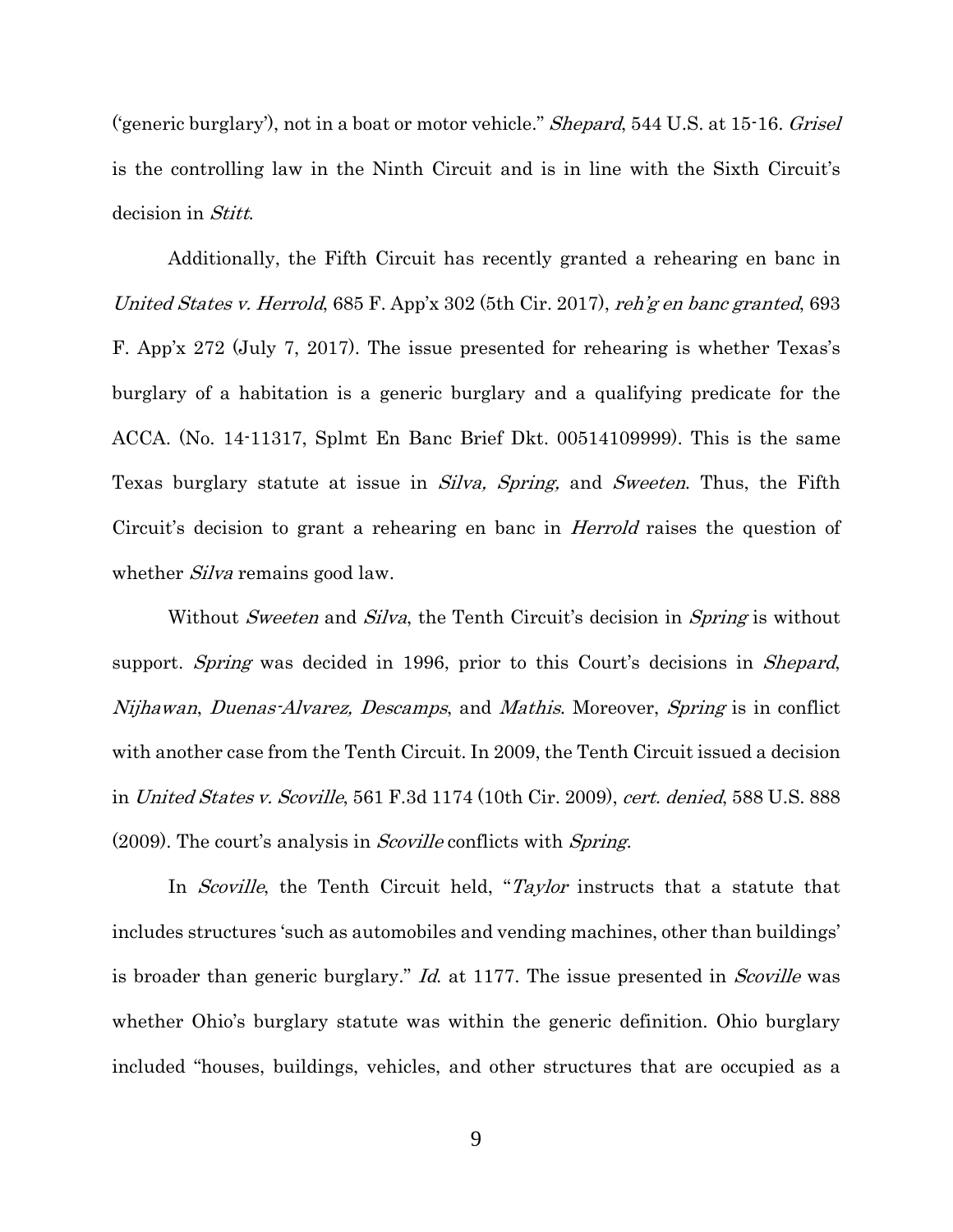('generic burglary'), not in a boat or motor vehicle." *Shepard*, 544 U.S. at 15-16. *Grisel* is the controlling law in the Ninth Circuit and is in line with the Sixth Circuit's decision in Stitt.

Additionally, the Fifth Circuit has recently granted a rehearing en banc in United States v. Herrold, 685 F. App'x 302 (5th Cir. 2017), reh'g en banc granted, 693 F. App'x 272 (July 7, 2017). The issue presented for rehearing is whether Texas's burglary of a habitation is a generic burglary and a qualifying predicate for the ACCA. (No. 14-11317, Splmt En Banc Brief Dkt. 00514109999). This is the same Texas burglary statute at issue in *Silva, Spring*, and Sweeten. Thus, the Fifth Circuit's decision to grant a rehearing en banc in Herrold raises the question of whether *Silva* remains good law.

Without *Sweeten* and *Silva*, the Tenth Circuit's decision in *Spring* is without support. *Spring* was decided in 1996, prior to this Court's decisions in *Shepard*, Nijhawan, Duenas-Alvarez, Descamps, and Mathis. Moreover, Spring is in conflict with another case from the Tenth Circuit. In 2009, the Tenth Circuit issued a decision in United States v. Scoville, 561 F.3d 1174 (10th Cir. 2009), cert. denied, 588 U.S. 888 (2009). The court's analysis in Scoville conflicts with Spring.

In *Scoville*, the Tenth Circuit held, "*Taylor* instructs that a statute that includes structures 'such as automobiles and vending machines, other than buildings' is broader than generic burglary." Id. at 1177. The issue presented in *Scoville* was whether Ohio's burglary statute was within the generic definition. Ohio burglary included "houses, buildings, vehicles, and other structures that are occupied as a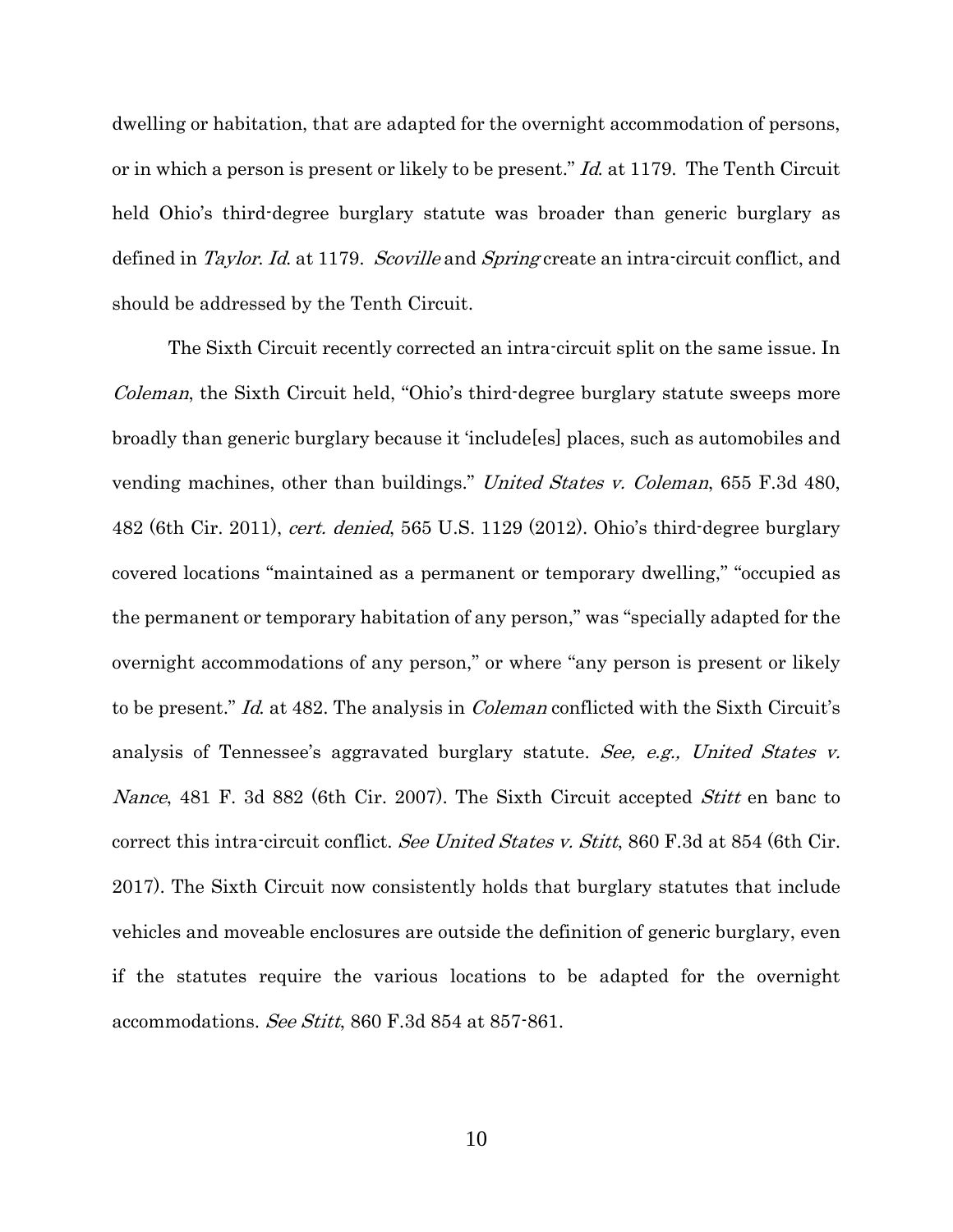dwelling or habitation, that are adapted for the overnight accommodation of persons, or in which a person is present or likely to be present." Id. at 1179. The Tenth Circuit held Ohio's third-degree burglary statute was broader than generic burglary as defined in *Taylor. Id.* at 1179. *Scoville* and *Spring* create an intra-circuit conflict, and should be addressed by the Tenth Circuit.

The Sixth Circuit recently corrected an intra-circuit split on the same issue. In Coleman, the Sixth Circuit held, "Ohio's third-degree burglary statute sweeps more broadly than generic burglary because it 'include[es] places, such as automobiles and vending machines, other than buildings." United States v. Coleman, 655 F.3d 480, 482 (6th Cir. 2011), cert. denied, 565 U.S. 1129 (2012). Ohio's third-degree burglary covered locations "maintained as a permanent or temporary dwelling," "occupied as the permanent or temporary habitation of any person," was "specially adapted for the overnight accommodations of any person," or where "any person is present or likely to be present." Id. at 482. The analysis in Coleman conflicted with the Sixth Circuit's analysis of Tennessee's aggravated burglary statute. See, e.g., United States v. Nance, 481 F. 3d 882 (6th Cir. 2007). The Sixth Circuit accepted *Stitt* en banc to correct this intra-circuit conflict. See United States v. Stitt, 860 F.3d at 854 (6th Cir. 2017). The Sixth Circuit now consistently holds that burglary statutes that include vehicles and moveable enclosures are outside the definition of generic burglary, even if the statutes require the various locations to be adapted for the overnight accommodations. See Stitt, 860 F.3d 854 at 857-861.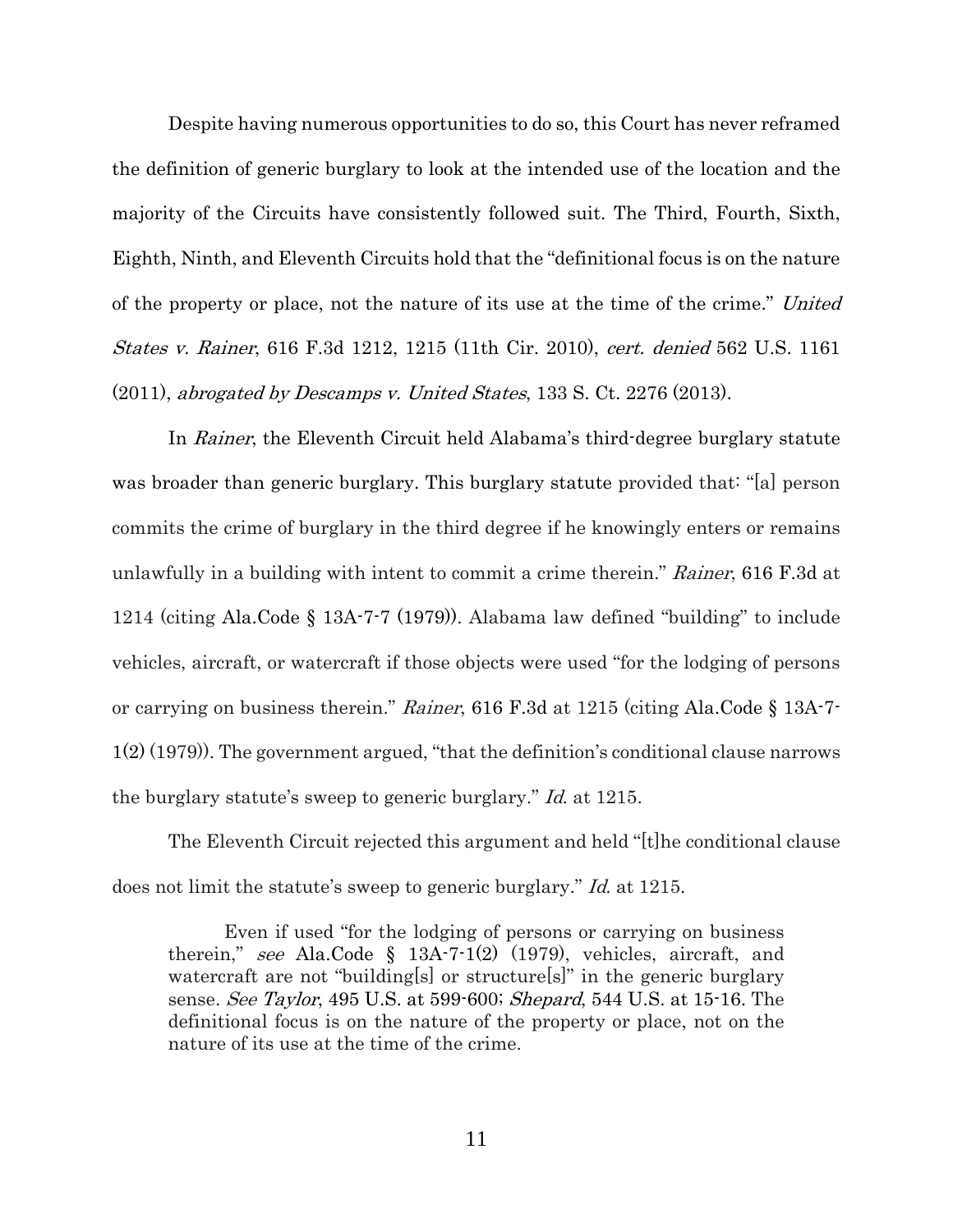Despite having numerous opportunities to do so, this Court has never reframed the definition of generic burglary to look at the intended use of the location and the majority of the Circuits have consistently followed suit. The Third, Fourth, Sixth, Eighth, Ninth, and Eleventh Circuits hold that the "definitional focus is on the nature of the property or place, not the nature of its use at the time of the crime." United States v. Rainer, 616 F.3d 1212, 1215 (11th Cir. 2010), cert. denied 562 U.S. 1161 (2011), abrogated by Descamps v. United States, 133 S. Ct. 2276 (2013).

In Rainer, the Eleventh Circuit held Alabama's third-degree burglary statute was broader than generic burglary. This burglary statute provided that: "[a] person commits the crime of burglary in the third degree if he knowingly enters or remains unlawfully in a building with intent to commit a crime therein." Rainer, 616 F.3d at 1214 (citing Ala.Code § 13A-7-7 (1979)). Alabama law defined "building" to include vehicles, aircraft, or watercraft if those objects were used "for the lodging of persons or carrying on business therein." Rainer, 616 F.3d at 1215 (citing Ala.Code § 13A-7- 1(2) (1979)). The government argued, "that the definition's conditional clause narrows the burglary statute's sweep to generic burglary." Id. at 1215.

The Eleventh Circuit rejected this argument and held "[t]he conditional clause does not limit the statute's sweep to generic burglary." Id. at 1215.

Even if used "for the lodging of persons or carrying on business therein," see Ala.Code  $\S$  13A-7-1(2) (1979), vehicles, aircraft, and watercraft are not "building[s] or structure[s]" in the generic burglary sense. See Taylor, 495 U.S. at 599-600; Shepard, 544 U.S. at 15-16. The definitional focus is on the nature of the property or place, not on the nature of its use at the time of the crime.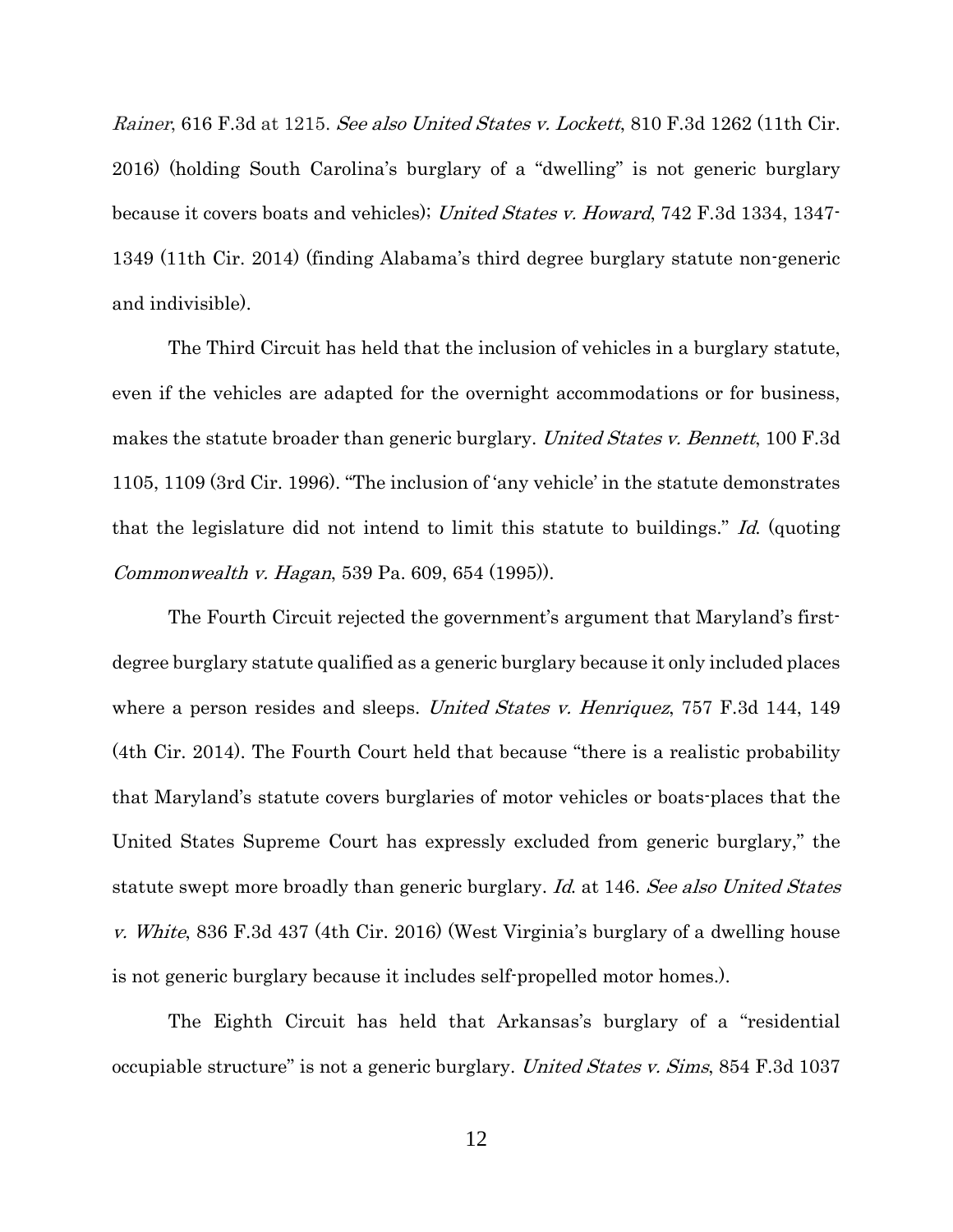Rainer, 616 F.3d at 1215. See also United States v. Lockett, 810 F.3d 1262 (11th Cir. 2016) (holding South Carolina's burglary of a "dwelling" is not generic burglary because it covers boats and vehicles); United States v. Howard, 742 F.3d 1334, 1347- 1349 (11th Cir. 2014) (finding Alabama's third degree burglary statute non-generic and indivisible).

The Third Circuit has held that the inclusion of vehicles in a burglary statute, even if the vehicles are adapted for the overnight accommodations or for business, makes the statute broader than generic burglary. United States v. Bennett, 100 F.3d 1105, 1109 (3rd Cir. 1996). "The inclusion of 'any vehicle' in the statute demonstrates that the legislature did not intend to limit this statute to buildings." Id. (quoting Commonwealth v. Hagan, 539 Pa. 609, 654 (1995)).

The Fourth Circuit rejected the government's argument that Maryland's firstdegree burglary statute qualified as a generic burglary because it only included places where a person resides and sleeps. United States v. Henriquez, 757 F.3d 144, 149 (4th Cir. 2014). The Fourth Court held that because "there is a realistic probability that Maryland's statute covers burglaries of motor vehicles or boats-places that the United States Supreme Court has expressly excluded from generic burglary," the statute swept more broadly than generic burglary. Id. at 146. See also United States v. White, 836 F.3d 437 (4th Cir. 2016) (West Virginia's burglary of a dwelling house is not generic burglary because it includes self-propelled motor homes.).

The Eighth Circuit has held that Arkansas's burglary of a "residential occupiable structure" is not a generic burglary. United States v. Sims, 854 F.3d 1037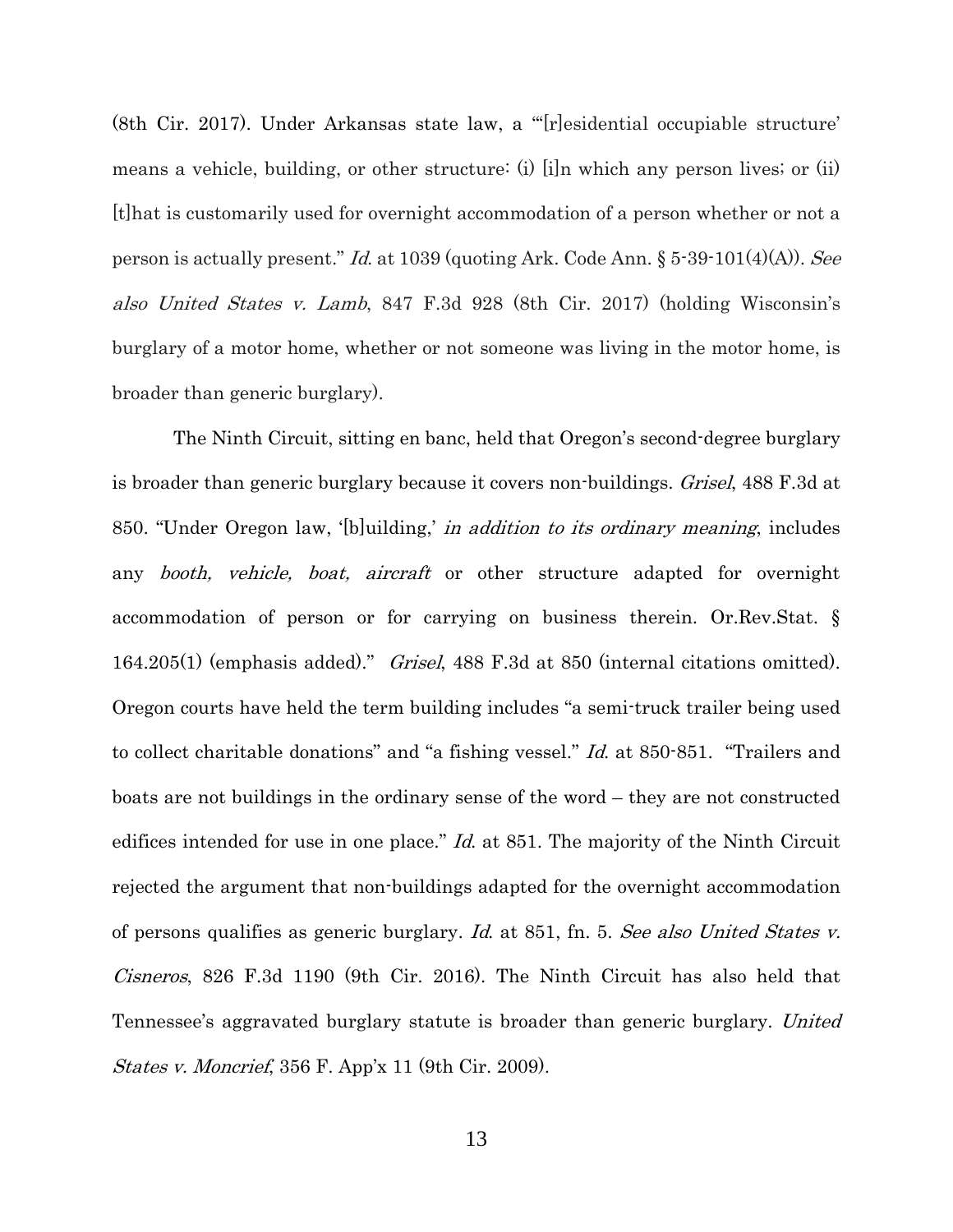(8th Cir. 2017). Under Arkansas state law, a "'[r]esidential occupiable structure' means a vehicle, building, or other structure: (i) [i]n which any person lives; or (ii) [t]hat is customarily used for overnight accommodation of a person whether or not a person is actually present." Id. at 1039 (quoting Ark. Code Ann.  $\S 5\text{-}39\text{-}101(4)(A)$ ). See also United States v. Lamb, 847 F.3d 928 (8th Cir. 2017) (holding Wisconsin's burglary of a motor home, whether or not someone was living in the motor home, is broader than generic burglary).

The Ninth Circuit, sitting en banc, held that Oregon's second-degree burglary is broader than generic burglary because it covers non-buildings. *Grisel*, 488 F.3d at 850. "Under Oregon law, '[b]uilding,' in addition to its ordinary meaning, includes any *booth*, *vehicle*, *boat*, *aircraft* or other structure adapted for overnight accommodation of person or for carrying on business therein. Or.Rev.Stat. § 164.205(1) (emphasis added)." Grisel, 488 F.3d at 850 (internal citations omitted). Oregon courts have held the term building includes "a semi-truck trailer being used to collect charitable donations" and "a fishing vessel." Id. at 850-851. "Trailers and boats are not buildings in the ordinary sense of the word – they are not constructed edifices intended for use in one place." *Id.* at 851. The majority of the Ninth Circuit rejected the argument that non-buildings adapted for the overnight accommodation of persons qualifies as generic burglary. Id. at 851, fn. 5. See also United States v. Cisneros, 826 F.3d 1190 (9th Cir. 2016). The Ninth Circuit has also held that Tennessee's aggravated burglary statute is broader than generic burglary. United States v. Moncrief, 356 F. App'x 11 (9th Cir. 2009).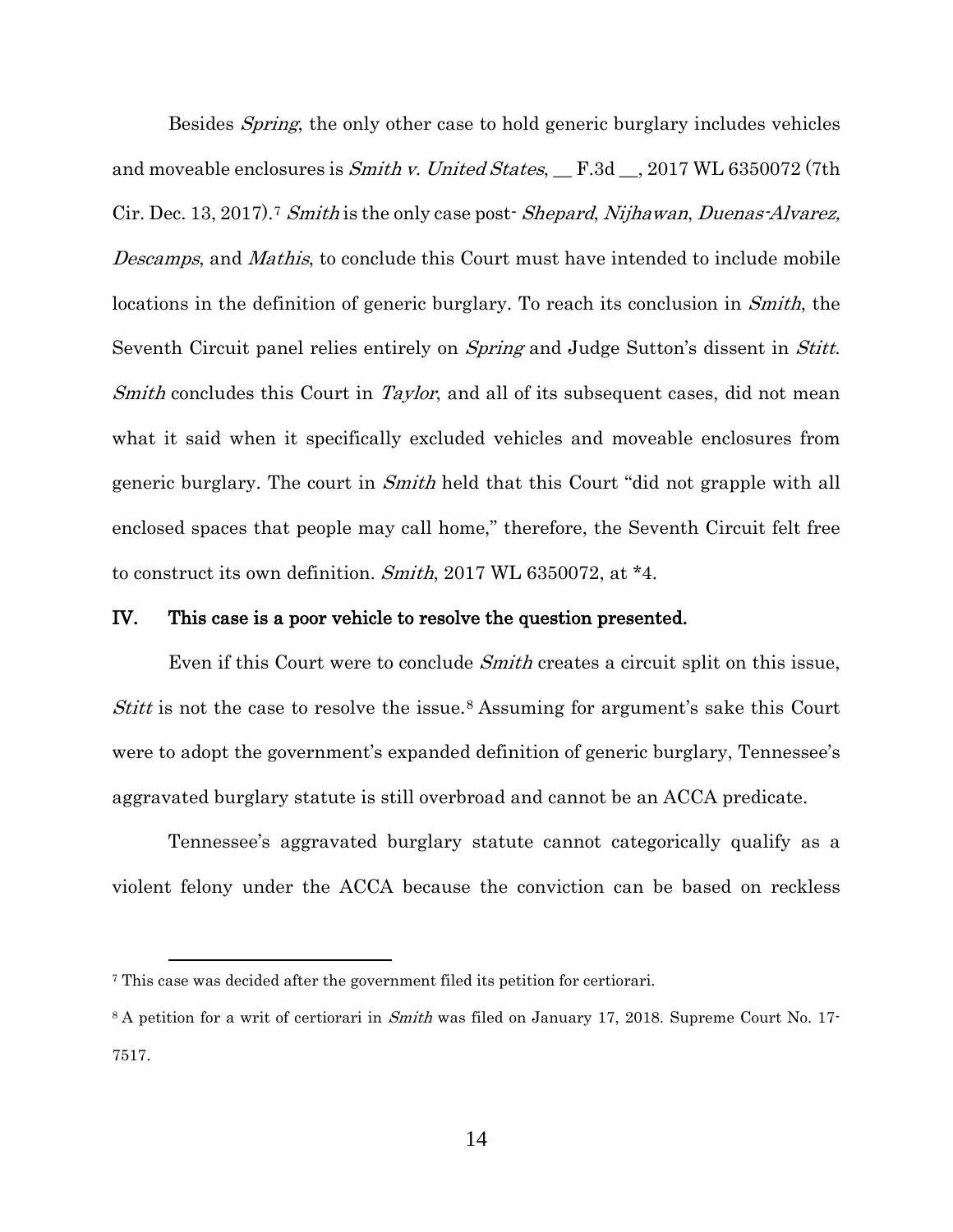Besides *Spring*, the only other case to hold generic burglary includes vehicles and moveable enclosures is *Smith v. United States*,  $\_$  F.3d  $\_$ , 2017 WL 6350072 (7th Cir. Dec. 13, 201[7](#page-20-0)).<sup>7</sup> Smith is the only case post- Shepard, Nijhawan, Duenas-Alvarez, Descamps, and Mathis, to conclude this Court must have intended to include mobile locations in the definition of generic burglary. To reach its conclusion in *Smith*, the Seventh Circuit panel relies entirely on *Spring* and Judge Sutton's dissent in *Stitt*. Smith concludes this Court in Taylor, and all of its subsequent cases, did not mean what it said when it specifically excluded vehicles and moveable enclosures from generic burglary. The court in *Smith* held that this Court "did not grapple with all enclosed spaces that people may call home," therefore, the Seventh Circuit felt free to construct its own definition. Smith, 2017 WL 6350072, at \*4.

#### IV. This case is a poor vehicle to resolve the question presented.

Even if this Court were to conclude *Smith* creates a circuit split on this issue, Stitt is not the case to resolve the issue.<sup>[8](#page-20-1)</sup> Assuming for argument's sake this Court were to adopt the government's expanded definition of generic burglary, Tennessee's aggravated burglary statute is still overbroad and cannot be an ACCA predicate.

Tennessee's aggravated burglary statute cannot categorically qualify as a violent felony under the ACCA because the conviction can be based on reckless

 $\overline{a}$ 

<span id="page-20-0"></span><sup>7</sup> This case was decided after the government filed its petition for certiorari.

<span id="page-20-1"></span><sup>&</sup>lt;sup>8</sup> A petition for a writ of certiorari in *Smith* was filed on January 17, 2018. Supreme Court No. 17-7517.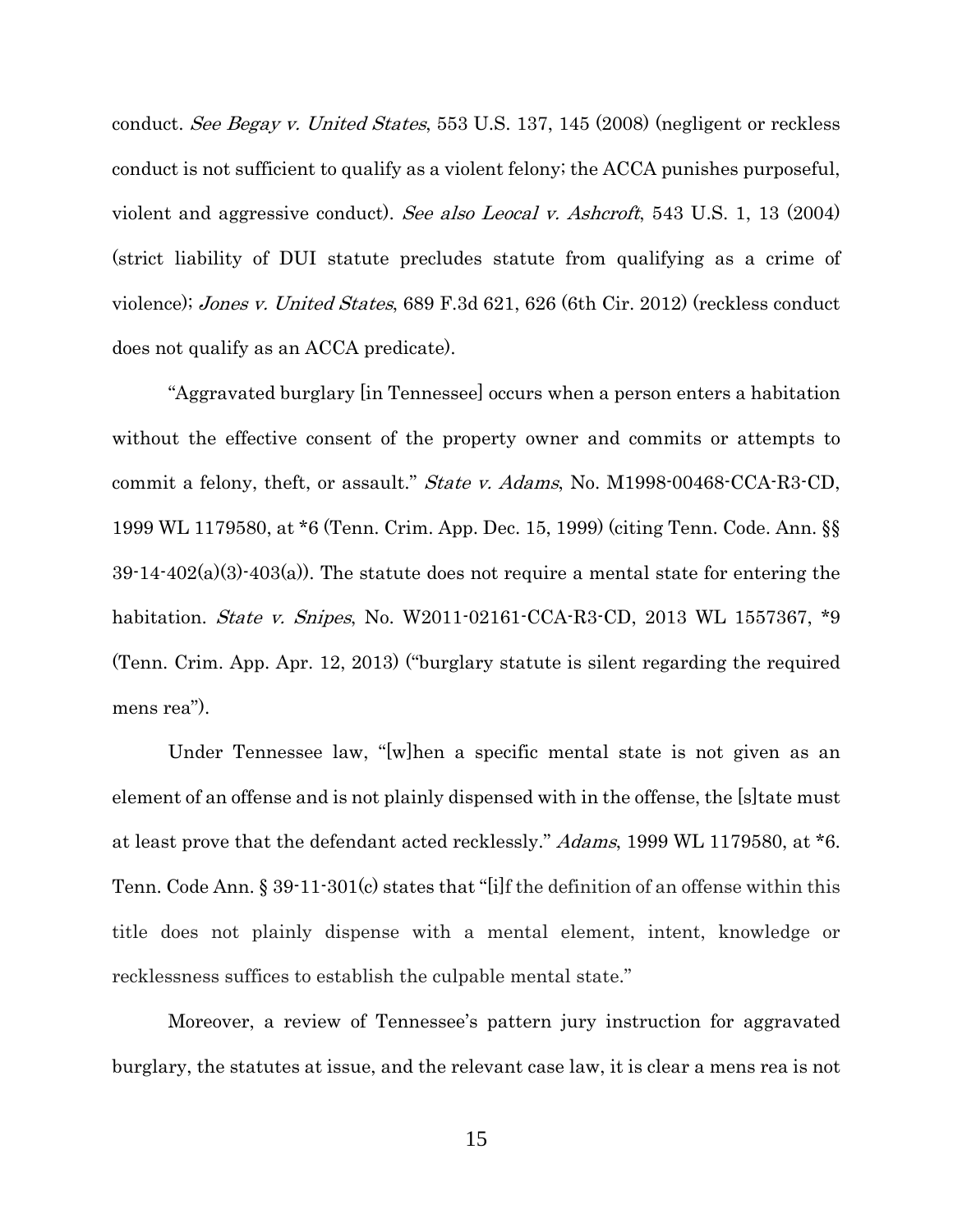conduct. See Begay v. United States, 553 U.S. 137, 145 (2008) (negligent or reckless conduct is not sufficient to qualify as a violent felony; the ACCA punishes purposeful, violent and aggressive conduct). See also Leocal v. Ashcroft, 543 U.S. 1, 13 (2004) (strict liability of DUI statute precludes statute from qualifying as a crime of violence); Jones v. United States, 689 F.3d 621, 626 (6th Cir. 2012) (reckless conduct does not qualify as an ACCA predicate).

"Aggravated burglary [in Tennessee] occurs when a person enters a habitation without the effective consent of the property owner and commits or attempts to commit a felony, theft, or assault." State v. Adams, No. M1998-00468-CCA-R3-CD, 1999 WL 1179580, at \*6 (Tenn. Crim. App. Dec. 15, 1999) (citing Tenn. Code. Ann. §§  $39-14-402(a)(3)-403(a)$ . The statute does not require a mental state for entering the habitation. *State v. Snipes*, No. W2011-02161-CCA-R3-CD, 2013 WL 1557367, \*9 (Tenn. Crim. App. Apr. 12, 2013) ("burglary statute is silent regarding the required mens rea").

Under Tennessee law, "[w]hen a specific mental state is not given as an element of an offense and is not plainly dispensed with in the offense, the [s]tate must at least prove that the defendant acted recklessly." Adams, 1999 WL 1179580, at \*6. Tenn. Code Ann. § 39-11-301(c) states that "[i]f the definition of an offense within this title does not plainly dispense with a mental element, intent, knowledge or recklessness suffices to establish the culpable mental state."

Moreover, a review of Tennessee's pattern jury instruction for aggravated burglary, the statutes at issue, and the relevant case law, it is clear a mens rea is not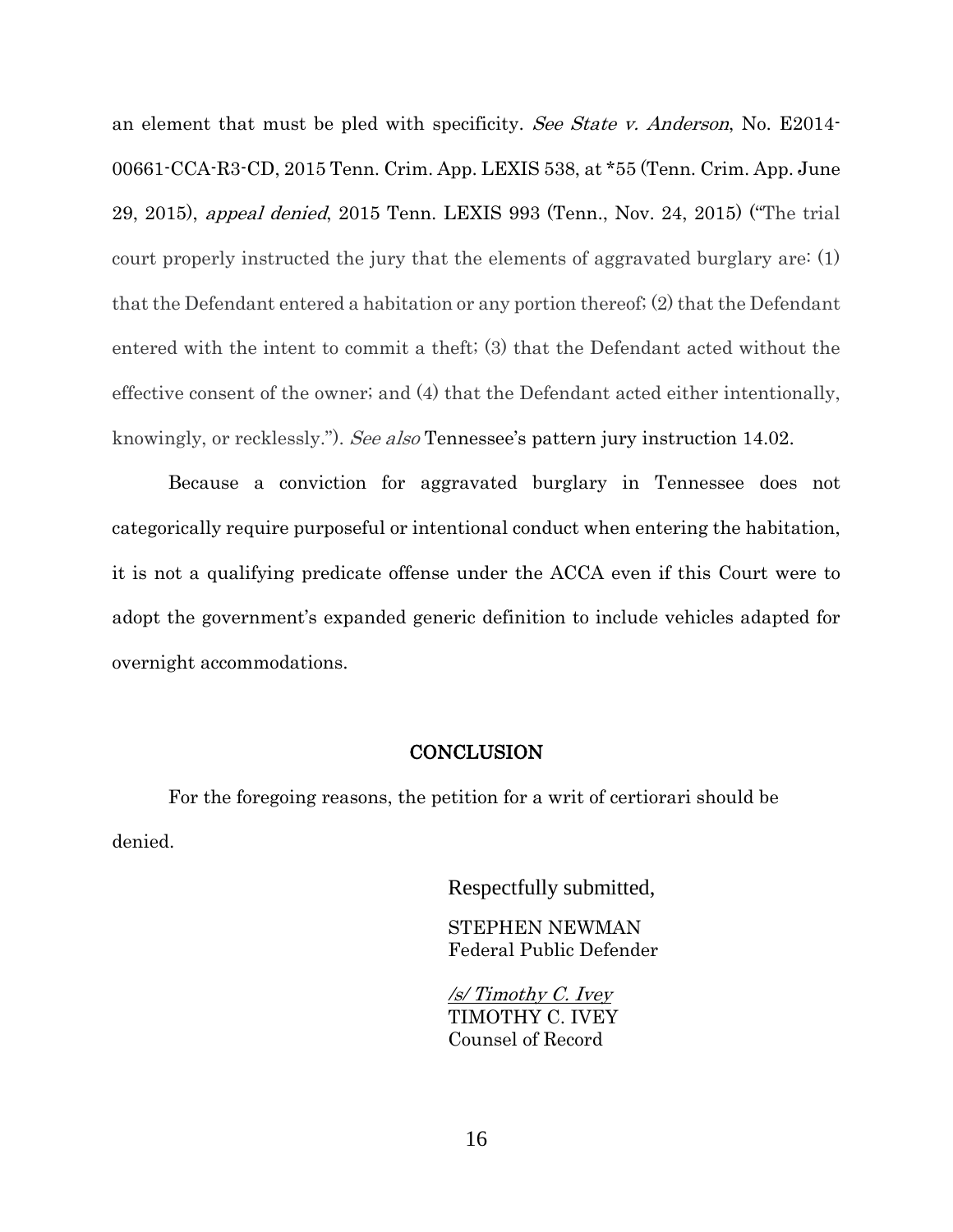an element that must be pled with specificity. See State v. Anderson, No. E2014- 00661-CCA-R3-CD, 2015 Tenn. Crim. App. LEXIS 538, at \*55 (Tenn. Crim. App. June 29, 2015), appeal denied, 2015 Tenn. LEXIS 993 (Tenn., Nov. 24, 2015) ("The trial court properly instructed the jury that the elements of aggravated burglary are: (1) that the Defendant entered a habitation or any portion thereof; (2) that the Defendant entered with the intent to commit a theft; (3) that the Defendant acted without the effective consent of the owner; and (4) that the Defendant acted either intentionally, knowingly, or recklessly."). See also Tennessee's pattern jury instruction 14.02.

Because a conviction for aggravated burglary in Tennessee does not categorically require purposeful or intentional conduct when entering the habitation, it is not a qualifying predicate offense under the ACCA even if this Court were to adopt the government's expanded generic definition to include vehicles adapted for overnight accommodations.

#### **CONCLUSION**

For the foregoing reasons, the petition for a writ of certiorari should be denied.

Respectfully submitted,

STEPHEN NEWMAN Federal Public Defender

/s/ Timothy C. Ivey TIMOTHY C. IVEY Counsel of Record